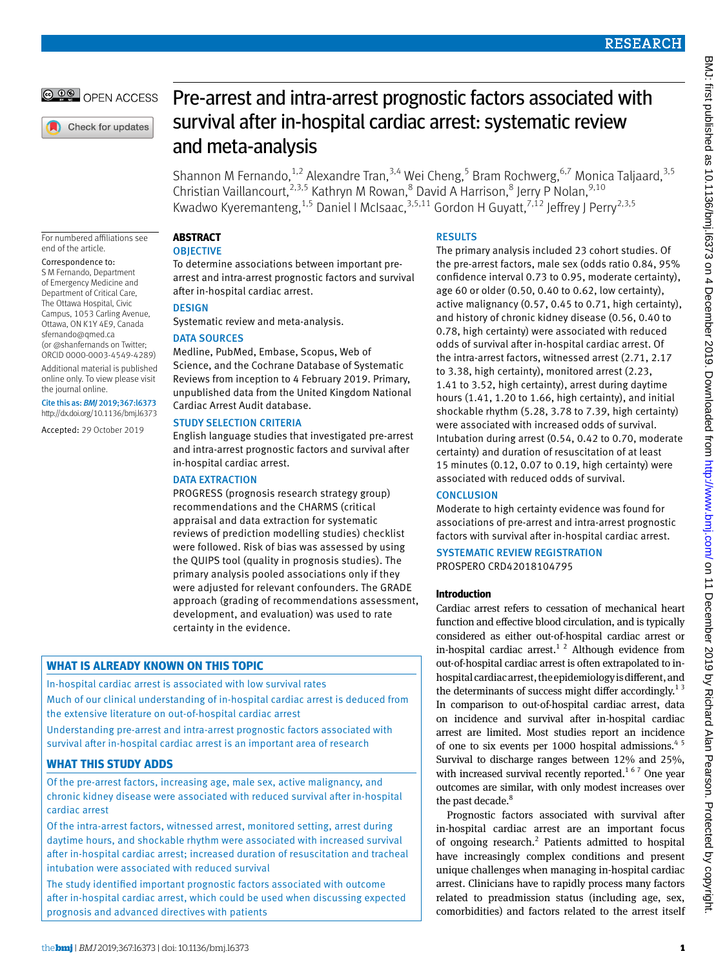© 00 OPEN ACCESS

Check for updates

# Pre-arrest and intra-arrest prognostic factors associated with survival after in-hospital cardiac arrest: systematic review and meta-analysis

Shannon M Fernando, <sup>1,2</sup> Alexandre Tran, <sup>3,4</sup> Wei Cheng, <sup>5</sup> Bram Rochwerg, <sup>6,7</sup> Monica Taljaard, <sup>3,5</sup> Christian Vaillancourt,<sup>2,3,5</sup> Kathryn M Rowan,<sup>8</sup> David A Harrison,<sup>8</sup> Jerry P Nolan,<sup>9,10</sup> Kwadwo Kyeremanteng,  $^{1,5}$  Daniel I McIsaac,  $^{3,5,11}$  Gordon H Guyatt,  $^{7,12}$  Jeffrey J Perry $^{2,3,5}$ 

For numbered affiliations see end of the article.

Correspondence to: S M Fernando, Department

of Emergency Medicine and Department of Critical Care, The Ottawa Hospital, Civic Campus, 1053 Carling Avenue, Ottawa, ON K1Y 4E9, Canada [sfernando@qmed.ca](mailto:sfernando@qmed.ca) (or [@shanfernands](https://twitter.com/shanfernands) on Twitter; ORCID [0000-0003-4549-4289\)](http://orcid.org/0000-0003-4549-4289) Additional material is published online only. To view please visit the journal online.

Cite this as: *BMJ* 2019;367:l6373 http://dx.doi.org/10.1136/bmj.l6373

Accepted: 29 October 2019

**Abstract**

### **OBJECTIVE**

To determine associations between important prearrest and intra-arrest prognostic factors and survival after in-hospital cardiac arrest.

### **DESIGN**

Systematic review and meta-analysis.

### DATA SOURCES

Medline, PubMed, Embase, Scopus, Web of Science, and the Cochrane Database of Systematic Reviews from inception to 4 February 2019. Primary, unpublished data from the United Kingdom National Cardiac Arrest Audit database.

### STUDY SELECTION CRITERIA

English language studies that investigated pre-arrest and intra-arrest prognostic factors and survival after in-hospital cardiac arrest.

### DATA EXTRACTION

PROGRESS (prognosis research strategy group) recommendations and the CHARMS (critical appraisal and data extraction for systematic reviews of prediction modelling studies) checklist were followed. Risk of bias was assessed by using the QUIPS tool (quality in prognosis studies). The primary analysis pooled associations only if they were adjusted for relevant confounders. The GRADE approach (grading of recommendations assessment, development, and evaluation) was used to rate certainty in the evidence.

## **What is already known on this topic**

In-hospital cardiac arrest is associated with low survival rates

Much of our clinical understanding of in-hospital cardiac arrest is deduced from the extensive literature on out-of-hospital cardiac arrest

Understanding pre-arrest and intra-arrest prognostic factors associated with survival after in-hospital cardiac arrest is an important area of research

### **What this study adds**

Of the pre-arrest factors, increasing age, male sex, active malignancy, and chronic kidney disease were associated with reduced survival after in-hospital cardiac arrest

Of the intra-arrest factors, witnessed arrest, monitored setting, arrest during daytime hours, and shockable rhythm were associated with increased survival after in-hospital cardiac arrest; increased duration of resuscitation and tracheal intubation were associated with reduced survival

The study identified important prognostic factors associated with outcome after in-hospital cardiac arrest, which could be used when discussing expected prognosis and advanced directives with patients

### **RESULTS**

The primary analysis included 23 cohort studies. Of the pre-arrest factors, male sex (odds ratio 0.84, 95% confidence interval 0.73 to 0.95, moderate certainty), age 60 or older (0.50, 0.40 to 0.62, low certainty), active malignancy (0.57, 0.45 to 0.71, high certainty), and history of chronic kidney disease (0.56, 0.40 to 0.78, high certainty) were associated with reduced odds of survival after in-hospital cardiac arrest. Of the intra-arrest factors, witnessed arrest (2.71, 2.17 to 3.38, high certainty), monitored arrest (2.23, 1.41 to 3.52, high certainty), arrest during daytime hours (1.41, 1.20 to 1.66, high certainty), and initial shockable rhythm (5.28, 3.78 to 7.39, high certainty) were associated with increased odds of survival. Intubation during arrest (0.54, 0.42 to 0.70, moderate certainty) and duration of resuscitation of at least 15 minutes (0.12, 0.07 to 0.19, high certainty) were associated with reduced odds of survival.

### **CONCLUSION**

Moderate to high certainty evidence was found for associations of pre-arrest and intra-arrest prognostic factors with survival after in-hospital cardiac arrest.

#### Systematic review registration PROSPERO CRD42018104795

### **Introduction**

Cardiac arrest refers to cessation of mechanical heart function and effective blood circulation, and is typically considered as either out-of-hospital cardiac arrest or in-hospital cardiac arrest.<sup>1 2</sup> Although evidence from out-of-hospital cardiac arrest is often extrapolated to inhospital cardiac arrest, the epidemiology is different, and the determinants of success might differ accordingly.<sup>13</sup> In comparison to out-of-hospital cardiac arrest, data on incidence and survival after in-hospital cardiac arrest are limited. Most studies report an incidence of one to six events per 1000 hospital admissions.<sup>45</sup> Survival to discharge ranges between 12% and 25%, with increased survival recently reported.<sup>167</sup> One year outcomes are similar, with only modest increases over the past decade.<sup>8</sup>

Prognostic factors associated with survival after in-hospital cardiac arrest are an important focus of ongoing research.<sup>2</sup> Patients admitted to hospital have increasingly complex conditions and present unique challenges when managing in-hospital cardiac arrest. Clinicians have to rapidly process many factors related to preadmission status (including age, sex, comorbidities) and factors related to the arrest itself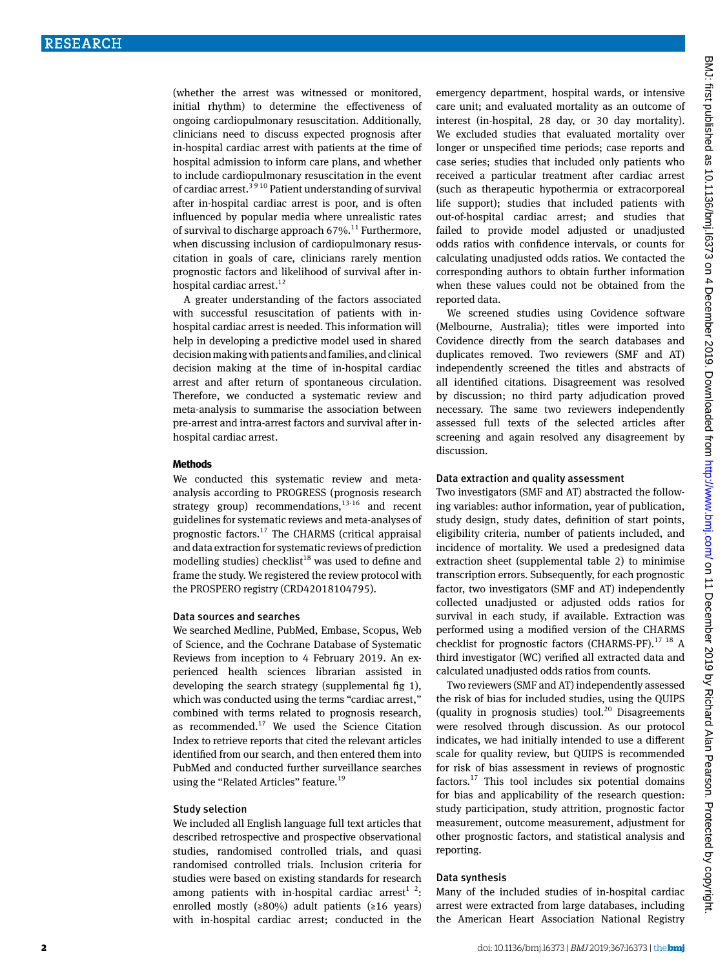(whether the arrest was witnessed or monitored, initial rhythm) to determine the effectiveness of ongoing cardiopulmonary resuscitation. Additionally, clinicians need to discuss expected prognosis after in-hospital cardiac arrest with patients at the time of hospital admission to inform care plans, and whether to include cardiopulmonary resuscitation in the event of cardiac arrest.<sup>39 10</sup> Patient understanding of survival after in-hospital cardiac arrest is poor, and is often influenced by popular media where unrealistic rates of survival to discharge approach  $67\%$ .<sup>11</sup> Furthermore, when discussing inclusion of cardiopulmonary resuscitation in goals of care, clinicians rarely mention prognostic factors and likelihood of survival after inhospital cardiac arrest.<sup>12</sup>

A greater understanding of the factors associated with successful resuscitation of patients with inhospital cardiac arrest is needed. This information will help in developing a predictive model used in shared decision making with patients and families, and clinical decision making at the time of in-hospital cardiac arrest and after return of spontaneous circulation. Therefore, we conducted a systematic review and meta-analysis to summarise the association between pre-arrest and intra-arrest factors and survival after inhospital cardiac arrest.

#### **Methods**

We conducted this systematic review and metaanalysis according to PROGRESS (prognosis research strategy group) recommendations, $13-16$  and recent guidelines for systematic reviews and meta-analyses of prognostic factors.<sup>17</sup> The CHARMS (critical appraisal and data extraction for systematic reviews of prediction modelling studies) checklist<sup>18</sup> was used to define and frame the study. We registered the review protocol with the PROSPERO registry (CRD42018104795).

### Data sources and searches

We searched Medline, PubMed, Embase, Scopus, Web of Science, and the Cochrane Database of Systematic Reviews from inception to 4 February 2019. An experienced health sciences librarian assisted in developing the search strategy (supplemental fig 1), which was conducted using the terms "cardiac arrest," combined with terms related to prognosis research, as recommended. $17$  We used the Science Citation Index to retrieve reports that cited the relevant articles identified from our search, and then entered them into PubMed and conducted further surveillance searches using the "Related Articles" feature.<sup>19</sup>

#### Study selection

We included all English language full text articles that described retrospective and prospective observational studies, randomised controlled trials, and quasi randomised controlled trials. Inclusion criteria for studies were based on existing standards for research among patients with in-hospital cardiac arrest<sup>1</sup> <sup>2</sup>: enrolled mostly ( $\geq 80\%$ ) adult patients ( $\geq 16$  years) with in-hospital cardiac arrest; conducted in the

emergency department, hospital wards, or intensive care unit; and evaluated mortality as an outcome of interest (in-hospital, 28 day, or 30 day mortality). We excluded studies that evaluated mortality over longer or unspecified time periods; case reports and case series; studies that included only patients who received a particular treatment after cardiac arrest (such as therapeutic hypothermia or extracorporeal life support); studies that included patients with out-of-hospital cardiac arrest; and studies that failed to provide model adjusted or unadjusted odds ratios with confidence intervals, or counts for calculating unadjusted odds ratios. We contacted the corresponding authors to obtain further information when these values could not be obtained from the reported data.

We screened studies using Covidence software (Melbourne, Australia); titles were imported into Covidence directly from the search databases and duplicates removed. Two reviewers (SMF and AT) independently screened the titles and abstracts of all identified citations. Disagreement was resolved by discussion; no third party adjudication proved necessary. The same two reviewers independently assessed full texts of the selected articles after screening and again resolved any disagreement by discussion.

#### Data extraction and quality assessment

Two investigators (SMF and AT) abstracted the following variables: author information, year of publication, study design, study dates, definition of start points, eligibility criteria, number of patients included, and incidence of mortality. We used a predesigned data extraction sheet (supplemental table 2) to minimise transcription errors. Subsequently, for each prognostic factor, two investigators (SMF and AT) independently collected unadjusted or adjusted odds ratios for survival in each study, if available. Extraction was performed using a modified version of the CHARMS checklist for prognostic factors (CHARMS-PF).<sup>17 18</sup> A third investigator (WC) verified all extracted data and calculated unadjusted odds ratios from counts.

Two reviewers (SMF and AT) independently assessed the risk of bias for included studies, using the QUIPS (quality in prognosis studies) tool.<sup>20</sup> Disagreements were resolved through discussion. As our protocol indicates, we had initially intended to use a different scale for quality review, but QUIPS is recommended for risk of bias assessment in reviews of prognostic factors. $17$  This tool includes six potential domains for bias and applicability of the research question: study participation, study attrition, prognostic factor measurement, outcome measurement, adjustment for other prognostic factors, and statistical analysis and reporting.

### Data synthesis

Many of the included studies of in-hospital cardiac arrest were extracted from large databases, including the American Heart Association National Registry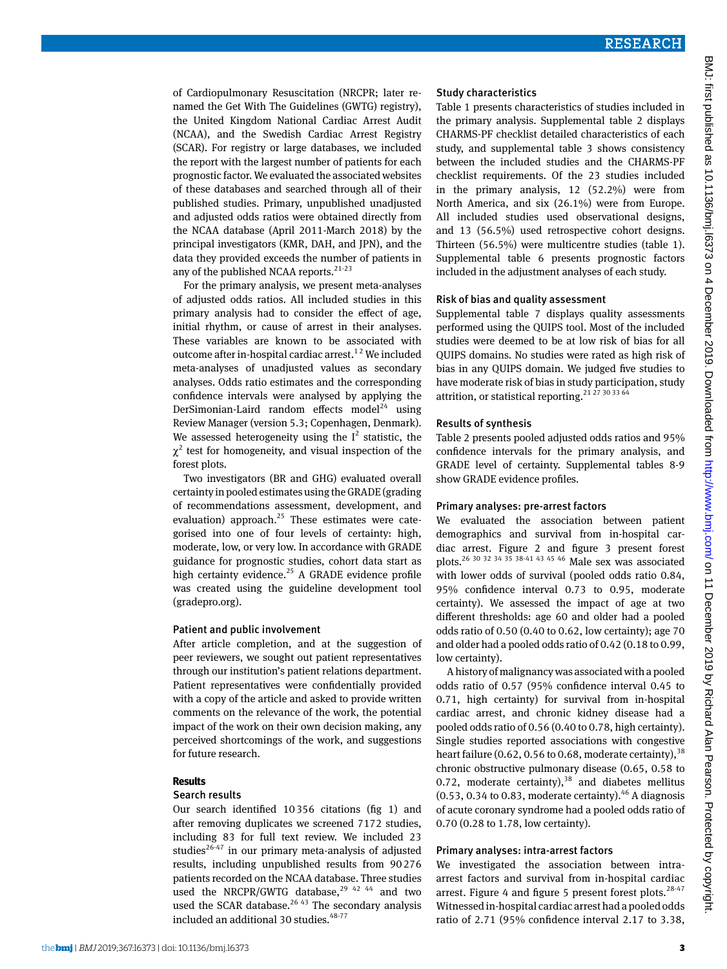of Cardiopulmonary Resuscitation (NRCPR; later renamed the Get With The Guidelines (GWTG) registry), the United Kingdom National Cardiac Arrest Audit (NCAA), and the Swedish Cardiac Arrest Registry (SCAR). For registry or large databases, we included the report with the largest number of patients for each prognostic factor. We evaluated the associated websites of these databases and searched through all of their published studies. Primary, unpublished unadjusted and adjusted odds ratios were obtained directly from the NCAA database (April 2011-March 2018) by the principal investigators (KMR, DAH, and JPN), and the data they provided exceeds the number of patients in any of the published NCAA reports. $21-23$ 

For the primary analysis, we present meta-analyses of adjusted odds ratios. All included studies in this primary analysis had to consider the effect of age, initial rhythm, or cause of arrest in their analyses. These variables are known to be associated with outcome after in-hospital cardiac arrest.<sup>12</sup> We included meta-analyses of unadjusted values as secondary analyses. Odds ratio estimates and the corresponding confidence intervals were analysed by applying the DerSimonian-Laird random effects model<sup>24</sup> using Review Manager (version 5.3; Copenhagen, Denmark). We assessed heterogeneity using the  $I^2$  statistic, the  $\chi^2$  test for homogeneity, and visual inspection of the forest plots.

Two investigators (BR and GHG) evaluated overall certainty in pooled estimates using the GRADE (grading of recommendations assessment, development, and evaluation) approach. $25$  These estimates were categorised into one of four levels of certainty: high, moderate, low, or very low. In accordance with GRADE guidance for prognostic studies, cohort data start as high certainty evidence.<sup>25</sup> A GRADE evidence profile was created using the guideline development tool (gradepro.org).

#### Patient and public involvement

After article completion, and at the suggestion of peer reviewers, we sought out patient representatives through our institution's patient relations department. Patient representatives were confidentially provided with a copy of the article and asked to provide written comments on the relevance of the work, the potential impact of the work on their own decision making, any perceived shortcomings of the work, and suggestions for future research.

### **Results**

#### Search results

Our search identified 10356 citations (fig 1) and after removing duplicates we screened 7172 studies, including 83 for full text review. We included 23 studies $^{26-47}$  in our primary meta-analysis of adjusted results, including unpublished results from 90276 patients recorded on the NCAA database. Three studies used the NRCPR/GWTG database, $29$  42 44 and two used the SCAR database. $2643$  The secondary analysis included an additional 30 studies.<sup>48-77</sup>

#### Study characteristics

Table 1 presents characteristics of studies included in the primary analysis. Supplemental table 2 displays CHARMS-PF checklist detailed characteristics of each study, and supplemental table 3 shows consistency between the included studies and the CHARMS-PF checklist requirements. Of the 23 studies included in the primary analysis, 12 (52.2%) were from North America, and six (26.1%) were from Europe. All included studies used observational designs, and 13 (56.5%) used retrospective cohort designs. Thirteen (56.5%) were multicentre studies (table 1). Supplemental table 6 presents prognostic factors included in the adjustment analyses of each study.

#### Risk of bias and quality assessment

Supplemental table 7 displays quality assessments performed using the QUIPS tool. Most of the included studies were deemed to be at low risk of bias for all QUIPS domains. No studies were rated as high risk of bias in any QUIPS domain. We judged five studies to have moderate risk of bias in study participation, study attrition, or statistical reporting.<sup>21 27 30 33 64</sup>

#### Results of synthesis

Table 2 presents pooled adjusted odds ratios and 95% confidence intervals for the primary analysis, and GRADE level of certainty. Supplemental tables 8-9 show GRADE evidence profiles.

#### Primary analyses: pre-arrest factors

We evaluated the association between patient demographics and survival from in-hospital cardiac arrest. Figure 2 and figure 3 present forest plots.26 30 32 34 35 38-41 43 45 46 Male sex was associated with lower odds of survival (pooled odds ratio 0.84, 95% confidence interval 0.73 to 0.95, moderate certainty). We assessed the impact of age at two different thresholds: age 60 and older had a pooled odds ratio of 0.50 (0.40 to 0.62, low certainty); age 70 and older had a pooled odds ratio of 0.42 (0.18 to 0.99, low certainty).

A history of malignancy was associated with a pooled odds ratio of 0.57 (95% confidence interval 0.45 to 0.71, high certainty) for survival from in-hospital cardiac arrest, and chronic kidney disease had a pooled odds ratio of 0.56 (0.40 to 0.78, high certainty). Single studies reported associations with congestive heart failure (0.62, 0.56 to 0.68, moderate certainty),  $38$ chronic obstructive pulmonary disease (0.65, 0.58 to 0.72, moderate certainty), $38$  and diabetes mellitus (0.53, 0.34 to 0.83, moderate certainty). $46$  A diagnosis of acute coronary syndrome had a pooled odds ratio of 0.70 (0.28 to 1.78, low certainty).

### Primary analyses: intra-arrest factors

We investigated the association between intraarrest factors and survival from in-hospital cardiac arrest. Figure 4 and figure 5 present forest plots. $28-47$ Witnessed in-hospital cardiac arrest had a pooled odds ratio of 2.71 (95% confidence interval 2.17 to 3.38,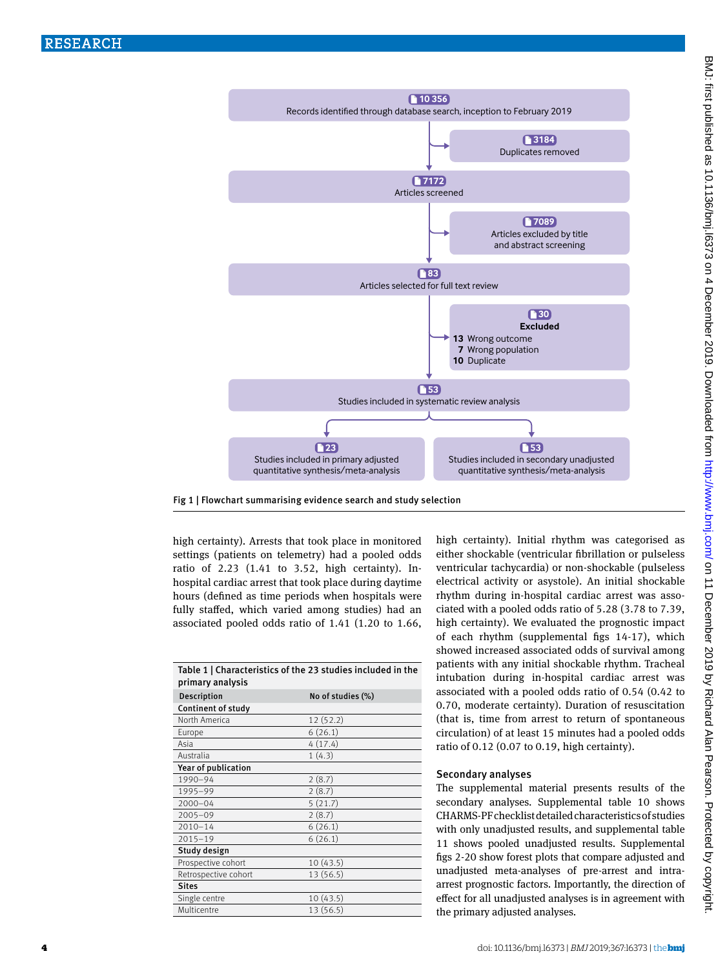



high certainty). Arrests that took place in monitored settings (patients on telemetry) had a pooled odds ratio of 2.23 (1.41 to 3.52, high certainty). Inhospital cardiac arrest that took place during daytime hours (defined as time periods when hospitals were fully staffed, which varied among studies) had an associated pooled odds ratio of 1.41 (1.20 to 1.66,

| Table 1   Characteristics of the 23 studies included in the<br>primary analysis |                   |  |  |  |  |
|---------------------------------------------------------------------------------|-------------------|--|--|--|--|
| <b>Description</b>                                                              | No of studies (%) |  |  |  |  |
| Continent of study                                                              |                   |  |  |  |  |
| North America                                                                   | 12 (52.2)         |  |  |  |  |
| Europe                                                                          | 6(26.1)           |  |  |  |  |
| Asia                                                                            | 4(17.4)           |  |  |  |  |
| Australia                                                                       | 1(4.3)            |  |  |  |  |
| Year of publication                                                             |                   |  |  |  |  |
| 1990-94                                                                         | 2(8.7)            |  |  |  |  |
| 1995-99                                                                         | 2(8.7)            |  |  |  |  |
| $2000 - 04$                                                                     | 5(21.7)           |  |  |  |  |
| $2005 - 09$                                                                     | 2(8.7)            |  |  |  |  |
| $2010 - 14$                                                                     | 6(26.1)           |  |  |  |  |
| $2015 - 19$                                                                     | 6(26.1)           |  |  |  |  |
| Study design                                                                    |                   |  |  |  |  |
| Prospective cohort                                                              | 10(43.5)          |  |  |  |  |
| Retrospective cohort                                                            | 13 (56.5)         |  |  |  |  |
| <b>Sites</b>                                                                    |                   |  |  |  |  |
| Single centre                                                                   | 10(43.5)          |  |  |  |  |
| Multicentre                                                                     | 13 (56.5)         |  |  |  |  |

high certainty). Initial rhythm was categorised as either shockable (ventricular fibrillation or pulseless ventricular tachycardia) or non-shockable (pulseless electrical activity or asystole). An initial shockable rhythm during in-hospital cardiac arrest was associated with a pooled odds ratio of 5.28 (3.78 to 7.39, high certainty). We evaluated the prognostic impact of each rhythm (supplemental figs 14-17), which showed increased associated odds of survival among patients with any initial shockable rhythm. Tracheal intubation during in-hospital cardiac arrest was associated with a pooled odds ratio of 0.54 (0.42 to 0.70, moderate certainty). Duration of resuscitation (that is, time from arrest to return of spontaneous circulation) of at least 15 minutes had a pooled odds ratio of 0.12 (0.07 to 0.19, high certainty).

### Secondary analyses

The supplemental material presents results of the secondary analyses. Supplemental table 10 shows CHARMS-PF checklist detailed characteristics of studies with only unadjusted results, and supplemental table 11 shows pooled unadjusted results. Supplemental figs 2-20 show forest plots that compare adjusted and unadjusted meta-analyses of pre-arrest and intraarrest prognostic factors. Importantly, the direction of effect for all unadjusted analyses is in agreement with the primary adjusted analyses.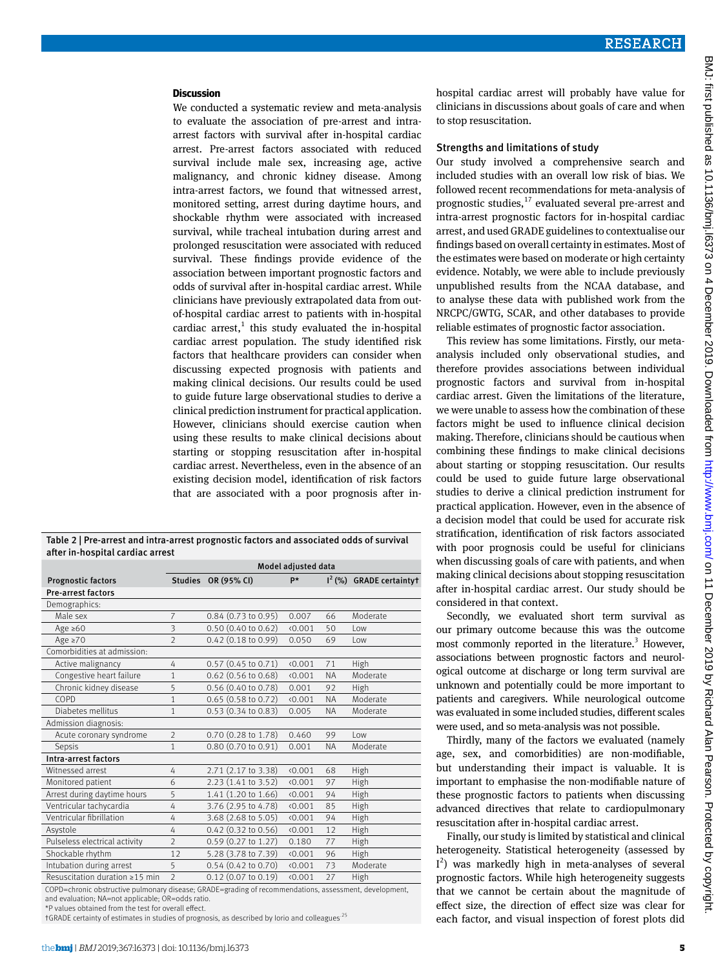#### **Discussion**

We conducted a systematic review and meta-analysis to evaluate the association of pre-arrest and intraarrest factors with survival after in-hospital cardiac arrest. Pre-arrest factors associated with reduced survival include male sex, increasing age, active malignancy, and chronic kidney disease. Among intra-arrest factors, we found that witnessed arrest, monitored setting, arrest during daytime hours, and shockable rhythm were associated with increased survival, while tracheal intubation during arrest and prolonged resuscitation were associated with reduced survival. These findings provide evidence of the association between important prognostic factors and odds of survival after in-hospital cardiac arrest. While clinicians have previously extrapolated data from outof-hospital cardiac arrest to patients with in-hospital cardiac arrest, $<sup>1</sup>$  this study evaluated the in-hospital</sup> cardiac arrest population. The study identified risk factors that healthcare providers can consider when discussing expected prognosis with patients and making clinical decisions. Our results could be used to guide future large observational studies to derive a clinical prediction instrument for practical application. However, clinicians should exercise caution when using these results to make clinical decisions about starting or stopping resuscitation after in-hospital cardiac arrest. Nevertheless, even in the absence of an existing decision model, identification of risk factors that are associated with a poor prognosis after in-

Table 2 | Pre-arrest and intra-arrest prognostic factors and associated odds of survival after in-hospital cardiac arrest

|                                | Model adjusted data |                               |         |           |                          |
|--------------------------------|---------------------|-------------------------------|---------|-----------|--------------------------|
| <b>Prognostic factors</b>      |                     | Studies OR (95% CI)           | p*      |           | $I2(%)$ GRADE certaintyt |
| <b>Pre-arrest factors</b>      |                     |                               |         |           |                          |
| Demographics:                  |                     |                               |         |           |                          |
| Male sex                       | $\overline{7}$      | $0.84$ (0.73 to 0.95)         | 0.007   | 66        | Moderate                 |
| Age $\geq 60$                  | 3                   | $0.50$ (0.40 to 0.62)         | (0.001) | 50        | l ow                     |
| Age $\geq 70$                  | $\mathfrak{D}$      | $0.42$ (0.18 to 0.99)         | 0.050   | 69        | $1$ OW                   |
| Comorbidities at admission:    |                     |                               |         |           |                          |
| Active malignancy              | 4                   | $0.57$ (0.45 to 0.71)         | (0.001) | 71        | High                     |
| Congestive heart failure       | 1                   | $0.62$ (0.56 to 0.68)         | (0.001) | <b>NA</b> | Moderate                 |
| Chronic kidney disease         | 5                   | 0.56 (0.40 to 0.78)           | 0.001   | 92        | High                     |
| COPD                           | 1                   | 0.65(0.58 to 0.72)            | 0.001   | <b>NA</b> | Moderate                 |
| Diabetes mellitus              | 1                   | $0.53(0.34 \text{ to } 0.83)$ | 0.005   | <b>NA</b> | Moderate                 |
| Admission diagnosis:           |                     |                               |         |           |                          |
| Acute coronary syndrome        | $\overline{2}$      | 0.70 (0.28 to 1.78)           | 0.460   | 99        | 10w                      |
| Sepsis                         | 1                   | 0.80 (0.70 to 0.91)           | 0.001   | <b>NA</b> | Moderate                 |
| Intra-arrest factors           |                     |                               |         |           |                          |
| Witnessed arrest               | 4                   | 2.71 (2.17 to 3.38)           | (0.001) | 68        | High                     |
| Monitored patient              | 6                   | $2.23(1.41 \text{ to } 3.52)$ | (0.001) | 97        | High                     |
| Arrest during daytime hours    | 5                   | 1.41 (1.20 to 1.66)           | (0.001) | 94        | High                     |
| Ventricular tachycardia        | 4                   | 3.76 (2.95 to 4.78)           | (0.001) | 85        | High                     |
| Ventricular fibrillation       | 4                   | 3.68 (2.68 to 5.05)           | (0.001) | 94        | High                     |
| Asystole                       | 4                   | 0.42 (0.32 to 0.56)           | (0.001) | 12        | High                     |
| Pulseless electrical activity  | $\mathfrak{D}$      | 0.59 (0.27 to 1.27)           | 0.180   | 77        | High                     |
| Shockable rhythm               | 12                  | 5.28 (3.78 to 7.39)           | (0.001) | 96        | High                     |
| Intubation during arrest       | 5                   | $0.54$ (0.42 to 0.70)         | (0.001) | 73        | Moderate                 |
| Resuscitation duration ≥15 min | $\mathfrak{D}$      | $0.12$ (0.07 to 0.19)         | (0.001) | 27        | High                     |
|                                |                     |                               |         |           |                          |

COPD=chronic obstructive pulmonary disease; GRADE=grading of recommendations, assessment, development, and evaluation; NA=not applicable; OR=odds ratio.

\*P values obtained from the test for overall effect.

†GRADE certainty of estimates in studies of prognosis, as described by Iorio and colleagues.25

hospital cardiac arrest will probably have value for clinicians in discussions about goals of care and when to stop resuscitation.

#### Strengths and limitations of study

Our study involved a comprehensive search and included studies with an overall low risk of bias. We followed recent recommendations for meta-analysis of prognostic studies, $^{17}$  evaluated several pre-arrest and intra-arrest prognostic factors for in-hospital cardiac arrest, and used GRADE guidelines to contextualise our findings based on overall certainty in estimates. Most of the estimates were based on moderate or high certainty evidence. Notably, we were able to include previously unpublished results from the NCAA database, and to analyse these data with published work from the NRCPC/GWTG, SCAR, and other databases to provide reliable estimates of prognostic factor association.

This review has some limitations. Firstly, our metaanalysis included only observational studies, and therefore provides associations between individual prognostic factors and survival from in-hospital cardiac arrest. Given the limitations of the literature, we were unable to assess how the combination of these factors might be used to influence clinical decision making. Therefore, clinicians should be cautious when combining these findings to make clinical decisions about starting or stopping resuscitation. Our results could be used to guide future large observational studies to derive a clinical prediction instrument for practical application. However, even in the absence of a decision model that could be used for accurate risk stratification, identification of risk factors associated with poor prognosis could be useful for clinicians when discussing goals of care with patients, and when making clinical decisions about stopping resuscitation after in-hospital cardiac arrest. Our study should be considered in that context.

Secondly, we evaluated short term survival as our primary outcome because this was the outcome most commonly reported in the literature.<sup>3</sup> However, associations between prognostic factors and neurological outcome at discharge or long term survival are unknown and potentially could be more important to patients and caregivers. While neurological outcome was evaluated in some included studies, different scales were used, and so meta-analysis was not possible.

Thirdly, many of the factors we evaluated (namely age, sex, and comorbidities) are non-modifiable, but understanding their impact is valuable. It is important to emphasise the non-modifiable nature of these prognostic factors to patients when discussing advanced directives that relate to cardiopulmonary resuscitation after in-hospital cardiac arrest.

Finally, our study is limited by statistical and clinical heterogeneity. Statistical heterogeneity (assessed by I 2 ) was markedly high in meta-analyses of several prognostic factors. While high heterogeneity suggests that we cannot be certain about the magnitude of effect size, the direction of effect size was clear for each factor, and visual inspection of forest plots did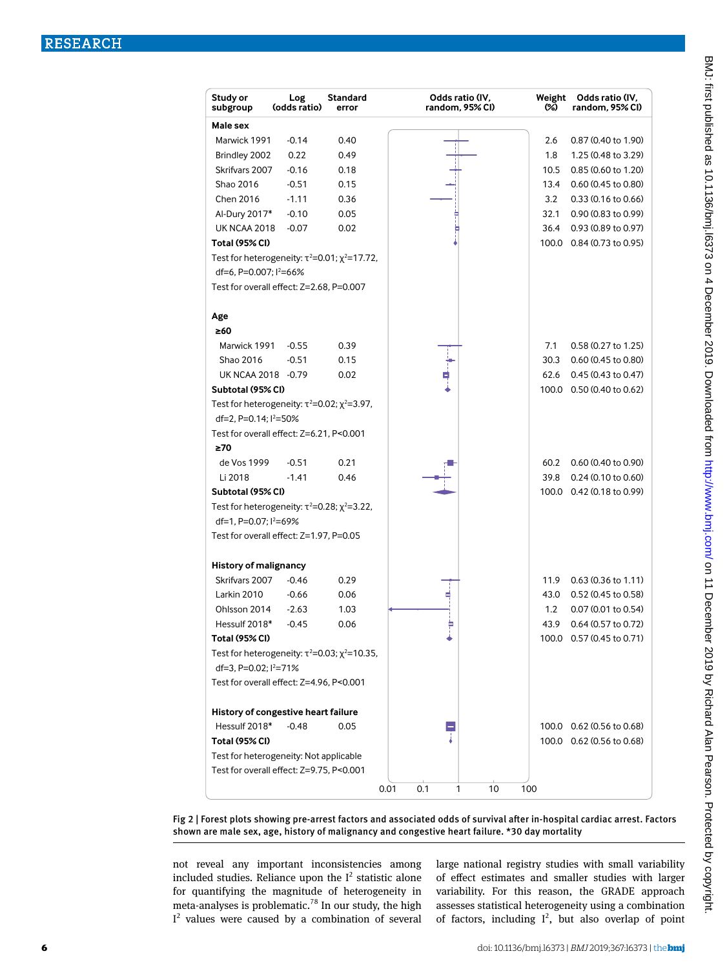| Study or<br>Log<br>(odds ratio)<br>subgroup                  | Standard<br>error | Odds ratio (IV,<br>random, 95% CI) | Weight<br>ශ | Odds ratio (IV,<br>random. 95% CI) |
|--------------------------------------------------------------|-------------------|------------------------------------|-------------|------------------------------------|
| Male sex                                                     |                   |                                    |             |                                    |
| Marwick 1991<br>$-0.14$                                      | 0.40              |                                    | 2.6         | 0.87 (0.40 to 1.90)                |
| 0.22<br>Brindley 2002                                        | 0.49              |                                    | 1.8         | 1.25 (0.48 to 3.29)                |
| $-0.16$<br>Skrifvars 2007                                    | 0.18              |                                    | 10.5        | 0.85 (0.60 to 1.20)                |
| Shao 2016<br>$-0.51$                                         | 0.15              |                                    | 13.4        | 0.60 (0.45 to 0.80)                |
| Chen 2016<br>$-1.11$                                         | 0.36              |                                    | 3.2         | $0.33(0.16 \text{ to } 0.66)$      |
| Al-Dury 2017*<br>$-0.10$                                     | 0.05              |                                    | 32.1        | 0.90 (0.83 to 0.99)                |
| <b>UK NCAA 2018</b><br>$-0.07$                               | 0.02              |                                    | 36.4        | 0.93 (0.89 to 0.97)                |
| <b>Total (95% CI)</b>                                        |                   |                                    |             | 100.0 0.84 (0.73 to 0.95)          |
| Test for heterogeneity: $\tau^2 = 0.01$ ; $\chi^2 = 17.72$ , |                   |                                    |             |                                    |
| df=6, P=0.007; l <sup>2</sup> =66%                           |                   |                                    |             |                                    |
| Test for overall effect: Z=2.68, P=0.007                     |                   |                                    |             |                                    |
| Age                                                          |                   |                                    |             |                                    |
| ≥60                                                          |                   |                                    |             |                                    |
| Marwick 1991<br>$-0.55$                                      | 0.39              |                                    | 7.1         | 0.58 (0.27 to 1.25)                |
| Shao 2016<br>$-0.51$                                         | 0.15              |                                    | 30.3        | 0.60 (0.45 to 0.80)                |
| UK NCAA 2018 - 0.79                                          | 0.02              |                                    | 62.6        | $0.45(0.43 \text{ to } 0.47)$      |
| Subtotal (95% CI)                                            |                   |                                    |             | 100.0 0.50 (0.40 to 0.62)          |
| Test for heterogeneity: $\tau^2 = 0.02$ ; $\chi^2 = 3.97$ ,  |                   |                                    |             |                                    |
| df=2, P=0.14; l <sup>2</sup> =50%                            |                   |                                    |             |                                    |
| Test for overall effect: Z=6.21, P<0.001                     |                   |                                    |             |                                    |
| ≥70                                                          |                   |                                    |             |                                    |
| de Vos 1999<br>$-0.51$                                       | 0.21              |                                    | 60.2        | 0.60 (0.40 to 0.90)                |
| Li 2018<br>$-1.41$                                           | 0.46              |                                    | 39.8        | 0.24 (0.10 to 0.60)                |
| Subtotal (95% CI)                                            |                   |                                    |             | 100.0 0.42 (0.18 to 0.99)          |
| Test for heterogeneity: $\tau^2 = 0.28$ ; $\chi^2 = 3.22$ ,  |                   |                                    |             |                                    |
| df=1, P=0.07; l <sup>2</sup> =69%                            |                   |                                    |             |                                    |
| Test for overall effect: Z=1.97, P=0.05                      |                   |                                    |             |                                    |
|                                                              |                   |                                    |             |                                    |
| <b>History of malignancy</b>                                 |                   |                                    |             |                                    |
| Skrifvars 2007<br>$-0.46$                                    | 0.29              |                                    | 11.9        | $0.63(0.36 \text{ to } 1.11)$      |
| Larkin 2010<br>$-0.66$                                       | 0.06              |                                    | 43.0        | 0.52 (0.45 to 0.58)                |
| Ohlsson 2014<br>$-2.63$                                      | 1.03              |                                    | 1.2         | 0.07 (0.01 to 0.54)                |
| Hessulf 2018*<br>$-0.45$                                     | 0.06              |                                    | 43.9        | 0.64 (0.57 to 0.72)                |
| Total (95% Cl)                                               |                   |                                    |             | 100.0 0.57 (0.45 to 0.71)          |
| Test for heterogeneity: $\tau^2 = 0.03$ ; $\chi^2 = 10.35$ , |                   |                                    |             |                                    |
| df=3, P=0.02; l <sup>2</sup> =71%                            |                   |                                    |             |                                    |
| Test for overall effect: Z=4.96, P<0.001                     |                   |                                    |             |                                    |
| History of congestive heart failure                          |                   |                                    |             |                                    |
| Hessulf 2018*<br>$-0.48$                                     | 0.05              |                                    |             | 100.0 0.62 (0.56 to 0.68)          |
| <b>Total (95% CI)</b>                                        |                   |                                    |             | 100.0 0.62 (0.56 to 0.68)          |
| Test for heterogeneity: Not applicable                       |                   |                                    |             |                                    |
| Test for overall effect: Z=9.75, P<0.001                     |                   |                                    |             |                                    |
|                                                              |                   | 0.1<br>10<br>0.01<br>1             | 100         |                                    |

Fig 2 | Forest plots showing pre-arrest factors and associated odds of survival after in-hospital cardiac arrest. Factors shown are male sex, age, history of malignancy and congestive heart failure. \*30 day mortality

not reveal any important inconsistencies among included studies. Reliance upon the  $I^2$  statistic alone for quantifying the magnitude of heterogeneity in meta-analyses is problematic.<sup>78</sup> In our study, the high  $I<sup>2</sup>$  values were caused by a combination of several large national registry studies with small variability of effect estimates and smaller studies with larger variability. For this reason, the GRADE approach assesses statistical heterogeneity using a combination of factors, including  $I^2$ , but also overlap of point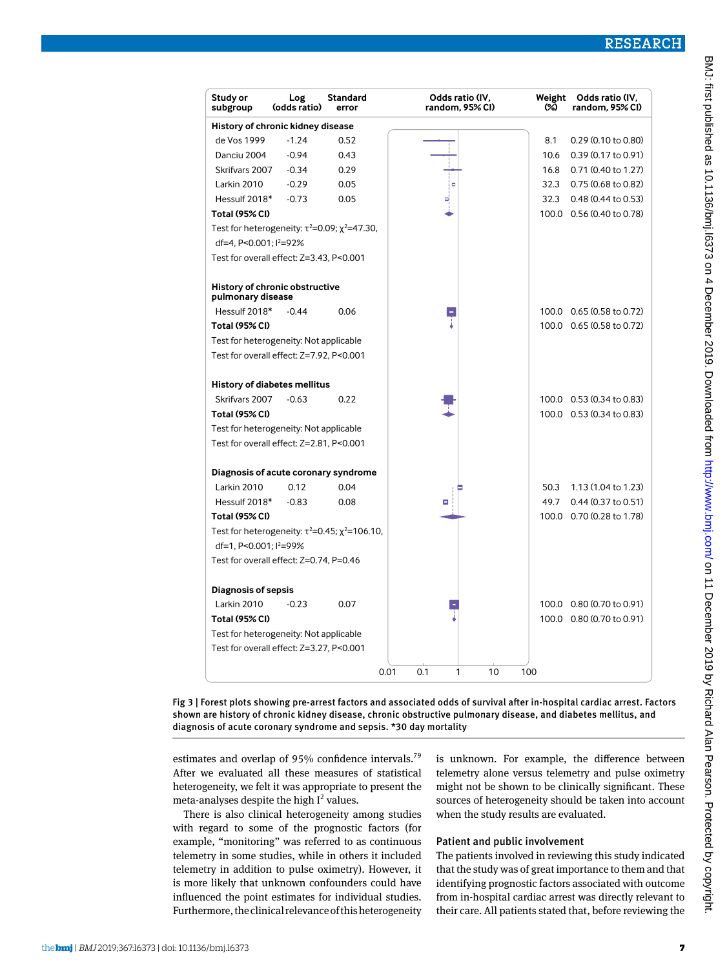### RESEARCH

| Study or<br>subgroup                   | Log<br>(odds ratio)                                          | Standard<br>error                                             | Odds ratio (IV,<br>random, 95% CI) | Weight<br>ശ | Odds ratio (IV,<br>random, 95% CI) |
|----------------------------------------|--------------------------------------------------------------|---------------------------------------------------------------|------------------------------------|-------------|------------------------------------|
|                                        | History of chronic kidney disease                            |                                                               |                                    |             |                                    |
| de Vos 1999                            | $-1.24$                                                      | 0.52                                                          |                                    | 8.1         | 0.29 (0.10 to 0.80)                |
| Danciu 2004                            | $-0.94$                                                      | 0.43                                                          |                                    | 10.6        | 0.39 (0.17 to 0.91)                |
| Skrifvars 2007                         | $-0.34$                                                      | 0.29                                                          |                                    | 16.8        | 0.71 (0.40 to 1.27)                |
| Larkin 2010                            | $-0.29$                                                      | 0.05                                                          | iв                                 | 32.3        | 0.75 (0.68 to 0.82)                |
| Hessulf 2018*                          | $-0.73$                                                      | 0.05                                                          |                                    | 32.3        | 0.48 (0.44 to 0.53)                |
| <b>Total (95% CI)</b>                  |                                                              |                                                               |                                    |             | 100.0 0.56 (0.40 to 0.78)          |
| df=4. P<0.001: l <sup>2</sup> =92%     | Test for heterogeneity: $\tau^2 = 0.09$ ; $\chi^2 = 47.30$ , |                                                               |                                    |             |                                    |
|                                        | Test for overall effect: Z=3.43, P<0.001                     |                                                               |                                    |             |                                    |
| pulmonary disease                      | History of chronic obstructive                               |                                                               |                                    |             |                                    |
| Hessulf 2018*                          | $-0.44$                                                      | 0.06                                                          |                                    |             | 100.0 0.65 (0.58 to 0.72)          |
| <b>Total (95% CI)</b>                  |                                                              |                                                               |                                    |             | 100.0 0.65 (0.58 to 0.72)          |
|                                        | Test for heterogeneity: Not applicable                       |                                                               |                                    |             |                                    |
|                                        | Test for overall effect: Z=7.92, P<0.001                     |                                                               |                                    |             |                                    |
|                                        |                                                              |                                                               |                                    |             |                                    |
| Skrifvars 2007                         | <b>History of diabetes mellitus</b><br>$-0.63$               | 0.22                                                          |                                    |             | 100.0 0.53 (0.34 to 0.83)          |
| <b>Total (95% CI)</b>                  |                                                              |                                                               |                                    |             | 100.0 0.53 (0.34 to 0.83)          |
|                                        | Test for heterogeneity: Not applicable                       |                                                               |                                    |             |                                    |
|                                        | Test for overall effect: Z=2.81, P<0.001                     |                                                               |                                    |             |                                    |
|                                        |                                                              |                                                               |                                    |             |                                    |
|                                        | Diagnosis of acute coronary syndrome                         |                                                               |                                    |             |                                    |
| Larkin 2010                            | 0.12                                                         | 0.04                                                          |                                    | 50.3        | 1.13 (1.04 to 1.23)                |
| Hessulf 2018*                          | $-0.83$                                                      | 0.08                                                          |                                    | 49.7        | 0.44 (0.37 to 0.51)                |
| <b>Total (95% CI)</b>                  |                                                              |                                                               |                                    |             | 100.0 0.70 (0.28 to 1.78)          |
|                                        |                                                              | Test for heterogeneity: $\tau^2 = 0.45$ ; $\chi^2 = 106.10$ , |                                    |             |                                    |
| df=1, P<0.001; l <sup>2</sup> =99%     |                                                              |                                                               |                                    |             |                                    |
|                                        | Test for overall effect: Z=0.74, P=0.46                      |                                                               |                                    |             |                                    |
| <b>Diagnosis of sepsis</b>             |                                                              |                                                               |                                    |             |                                    |
| Larkin 2010                            | $-0.23$                                                      | 0.07                                                          |                                    |             | 100.0 0.80 (0.70 to 0.91)          |
| <b>Total (95% CI)</b>                  |                                                              |                                                               |                                    |             | 100.0 0.80 (0.70 to 0.91)          |
| Test for heterogeneity: Not applicable |                                                              |                                                               |                                    |             |                                    |
|                                        | Test for overall effect: Z=3.27, P<0.001                     |                                                               |                                    |             |                                    |
|                                        |                                                              |                                                               | 0.01<br>0.1<br>1<br>10             | 100         |                                    |

Fig 3 | Forest plots showing pre-arrest factors and associated odds of survival after in-hospital cardiac arrest. Factors shown are history of chronic kidney disease, chronic obstructive pulmonary disease, and diabetes mellitus, and diagnosis of acute coronary syndrome and sepsis. \*30 day mortality

estimates and overlap of 95% confidence intervals.<sup>79</sup> After we evaluated all these measures of statistical heterogeneity, we felt it was appropriate to present the meta-analyses despite the high  $I^2$  values.

There is also clinical heterogeneity among studies with regard to some of the prognostic factors (for example, "monitoring" was referred to as continuous telemetry in some studies, while in others it included telemetry in addition to pulse oximetry). However, it is more likely that unknown confounders could have influenced the point estimates for individual studies. Furthermore, the clinical relevance of this heterogeneity is unknown. For example, the difference between telemetry alone versus telemetry and pulse oximetry might not be shown to be clinically significant. These sources of heterogeneity should be taken into account when the study results are evaluated.

#### Patient and public involvement

The patients involved in reviewing this study indicated that the study was of great importance to them and that identifying prognostic factors associated with outcome from in-hospital cardiac arrest was directly relevant to their care. All patients stated that, before reviewing the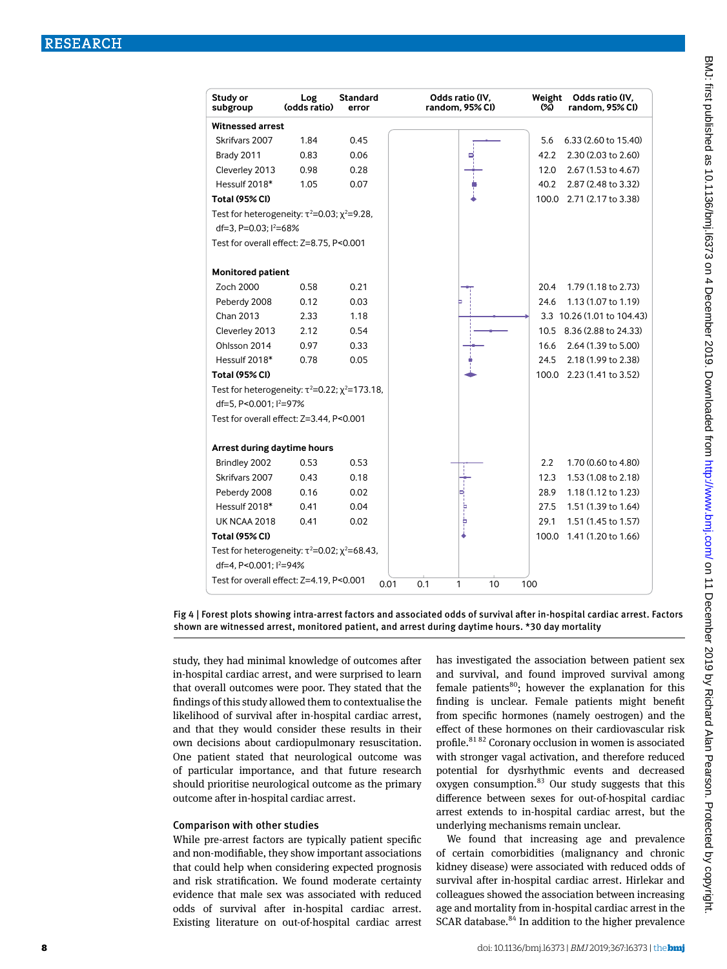| Study or<br>subgroup                                          | Log<br>(odds ratio) | Standard<br>error | Odds ratio (IV,<br>random, 95% CI) | Weight<br>Odds ratio (IV,<br>random. 95% CI)<br>ඥ) |
|---------------------------------------------------------------|---------------------|-------------------|------------------------------------|----------------------------------------------------|
| <b>Witnessed arrest</b>                                       |                     |                   |                                    |                                                    |
| Skrifvars 2007                                                | 1.84                | 0.45              |                                    | 6.33 (2.60 to 15.40)<br>5.6                        |
| Brady 2011                                                    | 0.83                | 0.06              |                                    | 42.2<br>2.30 (2.03 to 2.60)                        |
| Cleverley 2013                                                | 0.98                | 0.28              |                                    | 2.67 (1.53 to 4.67)<br>12.0                        |
| Hessulf 2018*                                                 | 1.05                | 0.07              |                                    | 2.87 (2.48 to 3.32)<br>40.2                        |
| <b>Total (95% CI)</b>                                         |                     |                   |                                    | 100.0 2.71 (2.17 to 3.38)                          |
| Test for heterogeneity: $\tau^2 = 0.03$ ; $\chi^2 = 9.28$ ,   |                     |                   |                                    |                                                    |
| df=3, P=0.03; l <sup>2</sup> =68%                             |                     |                   |                                    |                                                    |
| Test for overall effect: Z=8.75, P<0.001                      |                     |                   |                                    |                                                    |
| <b>Monitored patient</b>                                      |                     |                   |                                    |                                                    |
| Zoch 2000                                                     | 0.58                | 0.21              |                                    | 1.79 (1.18 to 2.73)<br>20.4                        |
| Peberdy 2008                                                  | 0.12                | 0.03              |                                    | 1.13 (1.07 to 1.19)<br>24.6                        |
| Chan 2013                                                     | 2.33                | 1.18              |                                    | 3.3 10.26 (1.01 to 104.43)                         |
| Cleverley 2013                                                | 2.12                | 0.54              |                                    | 8.36 (2.88 to 24.33)<br>10.5                       |
| Ohlsson 2014                                                  | 0.97                | 0.33              |                                    | 16.6<br>2.64 (1.39 to 5.00)                        |
| Hessulf 2018*                                                 | 0.78                | 0.05              |                                    | 2.18 (1.99 to 2.38)<br>24.5                        |
| <b>Total (95% CI)</b>                                         |                     |                   |                                    | 100.0 2.23 (1.41 to 3.52)                          |
| Test for heterogeneity: $\tau^2 = 0.22$ ; $\chi^2 = 173.18$ , |                     |                   |                                    |                                                    |
| df=5, P<0.001; l <sup>2</sup> =97%                            |                     |                   |                                    |                                                    |
| Test for overall effect: Z=3.44, P<0.001                      |                     |                   |                                    |                                                    |
| Arrest during daytime hours                                   |                     |                   |                                    |                                                    |
| Brindley 2002                                                 | 0.53                | 0.53              |                                    | $2.2\phantom{0}$<br>1.70 (0.60 to 4.80)            |
| Skrifvars 2007                                                | 0.43                | 0.18              |                                    | 12.3<br>1.53 (1.08 to 2.18)                        |
| Peberdy 2008                                                  | 0.16                | 0.02              |                                    | 1.18 (1.12 to 1.23)<br>28.9                        |
| Hessulf 2018*                                                 | 0.41                | 0.04              | þ                                  | 27.5<br>1.51 (1.39 to 1.64)                        |
| <b>UK NCAA 2018</b>                                           | 0.41                | 0.02              | Þ                                  | 29.1<br>1.51 (1.45 to 1.57)                        |
| <b>Total (95% CI)</b>                                         |                     |                   |                                    | 1.41 (1.20 to 1.66)<br>100.0                       |
| Test for heterogeneity: $\tau^2 = 0.02$ ; $\chi^2 = 68.43$ ,  |                     |                   |                                    |                                                    |
| df=4, P<0.001; l <sup>2</sup> =94%                            |                     |                   |                                    |                                                    |
| Test for overall effect: Z=4.19, P<0.001                      |                     |                   | 0.01<br>0.1<br>10<br>1<br>100      |                                                    |

Fig 4 | Forest plots showing intra-arrest factors and associated odds of survival after in-hospital cardiac arrest. Factors shown are witnessed arrest, monitored patient, and arrest during daytime hours. \*30 day mortality

study, they had minimal knowledge of outcomes after in-hospital cardiac arrest, and were surprised to learn that overall outcomes were poor. They stated that the findings of this study allowed them to contextualise the likelihood of survival after in-hospital cardiac arrest, and that they would consider these results in their own decisions about cardiopulmonary resuscitation. One patient stated that neurological outcome was of particular importance, and that future research should prioritise neurological outcome as the primary outcome after in-hospital cardiac arrest.

#### Comparison with other studies

While pre-arrest factors are typically patient specific and non-modifiable, they show important associations that could help when considering expected prognosis and risk stratification. We found moderate certainty evidence that male sex was associated with reduced odds of survival after in-hospital cardiac arrest. Existing literature on out-of-hospital cardiac arrest has investigated the association between patient sex and survival, and found improved survival among female patients $^{80}$ ; however the explanation for this finding is unclear. Female patients might benefit from specific hormones (namely oestrogen) and the effect of these hormones on their cardiovascular risk profile.<sup>81 82</sup> Coronary occlusion in women is associated with stronger vagal activation, and therefore reduced potential for dysrhythmic events and decreased oxygen consumption. $83$  Our study suggests that this difference between sexes for out-of-hospital cardiac arrest extends to in-hospital cardiac arrest, but the underlying mechanisms remain unclear.

We found that increasing age and prevalence of certain comorbidities (malignancy and chronic kidney disease) were associated with reduced odds of survival after in-hospital cardiac arrest. Hirlekar and colleagues showed the association between increasing age and mortality from in-hospital cardiac arrest in the SCAR database.<sup>84</sup> In addition to the higher prevalence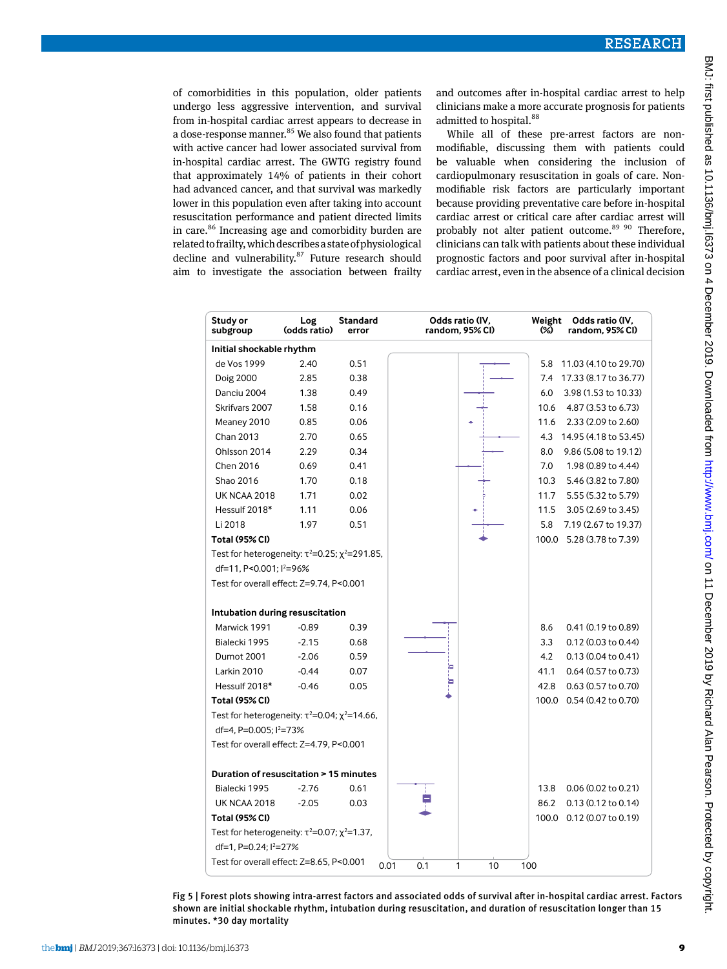of comorbidities in this population, older patients undergo less aggressive intervention, and survival from in-hospital cardiac arrest appears to decrease in a dose-response manner.<sup>85</sup> We also found that patients with active cancer had lower associated survival from in-hospital cardiac arrest. The GWTG registry found that approximately 14% of patients in their cohort had advanced cancer, and that survival was markedly lower in this population even after taking into account resuscitation performance and patient directed limits in care.<sup>86</sup> Increasing age and comorbidity burden are related to frailty, which describes a state of physiological decline and vulnerability. $87$  Future research should aim to investigate the association between frailty and outcomes after in-hospital cardiac arrest to help clinicians make a more accurate prognosis for patients admitted to hospital.<sup>88</sup>

While all of these pre-arrest factors are nonmodifiable, discussing them with patients could be valuable when considering the inclusion of cardiopulmonary resuscitation in goals of care. Nonmodifiable risk factors are particularly important because providing preventative care before in-hospital cardiac arrest or critical care after cardiac arrest will probably not alter patient outcome.<sup>89 90</sup> Therefore. clinicians can talk with patients about these individual prognostic factors and poor survival after in-hospital cardiac arrest, even in the absence of a clinical decision

| Initial shockable rhythm<br>de Vos 1999<br>11.03 (4.10 to 29.70)<br>2.40<br>0.51<br>5.8<br>17.33 (8.17 to 36.77)<br>Doig 2000<br>2.85<br>0.38<br>7.4<br>Danciu 2004<br>1.38<br>0.49<br>6.0<br>3.98 (1.53 to 10.33)<br>Skrifvars 2007<br>1.58<br>0.16<br>10.6<br>4.87 (3.53 to 6.73)<br>0.06<br>2.33 (2.09 to 2.60)<br>Meaney 2010<br>0.85<br>11.6<br>Chan 2013<br>2.70<br>0.65<br>4.3<br>14.95 (4.18 to 53.45)<br>Ohlsson 2014<br>2.29<br>0.34<br>8.0<br>9.86 (5.08 to 19.12)<br>Chen 2016<br>0.69<br>0.41<br>1.98 (0.89 to 4.44)<br>7.0<br>Shao 2016<br>0.18<br>5.46 (3.82 to 7.80)<br>1.70<br>10.3 | Study or<br>subgroup | Log<br>(odds ratio) | Standard<br>error | Odds ratio (IV.<br>random, 95% CI) | Weight<br>Odds ratio (IV.<br>ශ<br>random, 95% CI) |
|------------------------------------------------------------------------------------------------------------------------------------------------------------------------------------------------------------------------------------------------------------------------------------------------------------------------------------------------------------------------------------------------------------------------------------------------------------------------------------------------------------------------------------------------------------------------------------------------------|----------------------|---------------------|-------------------|------------------------------------|---------------------------------------------------|
|                                                                                                                                                                                                                                                                                                                                                                                                                                                                                                                                                                                                      |                      |                     |                   |                                    |                                                   |
|                                                                                                                                                                                                                                                                                                                                                                                                                                                                                                                                                                                                      |                      |                     |                   |                                    |                                                   |
|                                                                                                                                                                                                                                                                                                                                                                                                                                                                                                                                                                                                      |                      |                     |                   |                                    |                                                   |
|                                                                                                                                                                                                                                                                                                                                                                                                                                                                                                                                                                                                      |                      |                     |                   |                                    |                                                   |
|                                                                                                                                                                                                                                                                                                                                                                                                                                                                                                                                                                                                      |                      |                     |                   |                                    |                                                   |
|                                                                                                                                                                                                                                                                                                                                                                                                                                                                                                                                                                                                      |                      |                     |                   |                                    |                                                   |
|                                                                                                                                                                                                                                                                                                                                                                                                                                                                                                                                                                                                      |                      |                     |                   |                                    |                                                   |
|                                                                                                                                                                                                                                                                                                                                                                                                                                                                                                                                                                                                      |                      |                     |                   |                                    |                                                   |
|                                                                                                                                                                                                                                                                                                                                                                                                                                                                                                                                                                                                      |                      |                     |                   |                                    |                                                   |
|                                                                                                                                                                                                                                                                                                                                                                                                                                                                                                                                                                                                      |                      |                     |                   |                                    |                                                   |
| 0.02<br><b>UK NCAA 2018</b><br>1.71<br>5.55 (5.32 to 5.79)<br>11.7                                                                                                                                                                                                                                                                                                                                                                                                                                                                                                                                   |                      |                     |                   |                                    |                                                   |
| 0.06<br>Hessulf 2018*<br>1.11<br>3.05 (2.69 to 3.45)<br>11.5                                                                                                                                                                                                                                                                                                                                                                                                                                                                                                                                         |                      |                     |                   |                                    |                                                   |
| Li 2018<br>1.97<br>0.51<br>7.19 (2.67 to 19.37)<br>5.8                                                                                                                                                                                                                                                                                                                                                                                                                                                                                                                                               |                      |                     |                   |                                    |                                                   |
| <b>Total (95% CI)</b><br>5.28 (3.78 to 7.39)<br>100.0                                                                                                                                                                                                                                                                                                                                                                                                                                                                                                                                                |                      |                     |                   |                                    |                                                   |
| Test for heterogeneity: $\tau^2 = 0.25$ ; $\chi^2 = 291.85$ ,                                                                                                                                                                                                                                                                                                                                                                                                                                                                                                                                        |                      |                     |                   |                                    |                                                   |
| df=11, P<0.001; l <sup>2</sup> =96%                                                                                                                                                                                                                                                                                                                                                                                                                                                                                                                                                                  |                      |                     |                   |                                    |                                                   |
| Test for overall effect: Z=9.74, P<0.001                                                                                                                                                                                                                                                                                                                                                                                                                                                                                                                                                             |                      |                     |                   |                                    |                                                   |
|                                                                                                                                                                                                                                                                                                                                                                                                                                                                                                                                                                                                      |                      |                     |                   |                                    |                                                   |
| Intubation during resuscitation                                                                                                                                                                                                                                                                                                                                                                                                                                                                                                                                                                      |                      |                     |                   |                                    |                                                   |
| Marwick 1991<br>0.39<br>$-0.89$<br>8.6<br>0.41 (0.19 to 0.89)                                                                                                                                                                                                                                                                                                                                                                                                                                                                                                                                        |                      |                     |                   |                                    |                                                   |
| Bialecki 1995<br>$-2.15$<br>0.68<br>3.3<br>$0.12(0.03)$ to $0.44$ )                                                                                                                                                                                                                                                                                                                                                                                                                                                                                                                                  |                      |                     |                   |                                    |                                                   |
| <b>Dumot 2001</b><br>$-2.06$<br>0.59<br>4.2<br>0.13(0.04 to 0.41)                                                                                                                                                                                                                                                                                                                                                                                                                                                                                                                                    |                      |                     |                   |                                    |                                                   |
| Larkin 2010<br>$-0.44$<br>0.07<br>0.64 (0.57 to 0.73)<br>41.1                                                                                                                                                                                                                                                                                                                                                                                                                                                                                                                                        |                      |                     |                   |                                    |                                                   |
| Hessulf 2018*<br>0.05<br>0.63 (0.57 to 0.70)<br>$-0.46$<br>42.8                                                                                                                                                                                                                                                                                                                                                                                                                                                                                                                                      |                      |                     |                   |                                    |                                                   |
| <b>Total (95% CI)</b><br>0.54 (0.42 to 0.70)<br>100.0                                                                                                                                                                                                                                                                                                                                                                                                                                                                                                                                                |                      |                     |                   |                                    |                                                   |
| Test for heterogeneity: $\tau^2 = 0.04$ ; $\chi^2 = 14.66$ ,                                                                                                                                                                                                                                                                                                                                                                                                                                                                                                                                         |                      |                     |                   |                                    |                                                   |
| df=4, P=0.005; l <sup>2</sup> =73%                                                                                                                                                                                                                                                                                                                                                                                                                                                                                                                                                                   |                      |                     |                   |                                    |                                                   |
| Test for overall effect: Z=4.79, P<0.001                                                                                                                                                                                                                                                                                                                                                                                                                                                                                                                                                             |                      |                     |                   |                                    |                                                   |
| Duration of resuscitation > 15 minutes                                                                                                                                                                                                                                                                                                                                                                                                                                                                                                                                                               |                      |                     |                   |                                    |                                                   |
| $-2.76$<br>0.61<br>0.06 (0.02 to 0.21)<br>Bialecki 1995<br>13.8                                                                                                                                                                                                                                                                                                                                                                                                                                                                                                                                      |                      |                     |                   |                                    |                                                   |
| <b>UK NCAA 2018</b><br>$-2.05$<br>0.03<br>86.2<br>$0.13(0.12 \text{ to } 0.14)$                                                                                                                                                                                                                                                                                                                                                                                                                                                                                                                      |                      |                     |                   |                                    |                                                   |
| 100.0 0.12 (0.07 to 0.19)<br><b>Total (95% CI)</b>                                                                                                                                                                                                                                                                                                                                                                                                                                                                                                                                                   |                      |                     |                   |                                    |                                                   |
| Test for heterogeneity: $\tau^2 = 0.07$ ; $\chi^2 = 1.37$ ,                                                                                                                                                                                                                                                                                                                                                                                                                                                                                                                                          |                      |                     |                   |                                    |                                                   |
| df=1, P=0.24; l <sup>2</sup> =27%                                                                                                                                                                                                                                                                                                                                                                                                                                                                                                                                                                    |                      |                     |                   |                                    |                                                   |
| Test for overall effect: Z=8.65, P<0.001<br>0.01<br>0.1<br>1<br>10<br>100                                                                                                                                                                                                                                                                                                                                                                                                                                                                                                                            |                      |                     |                   |                                    |                                                   |

Fig 5 | Forest plots showing intra-arrest factors and associated odds of survival after in-hospital cardiac arrest. Factors shown are initial shockable rhythm, intubation during resuscitation, and duration of resuscitation longer than 15 minutes. \*30 day mortality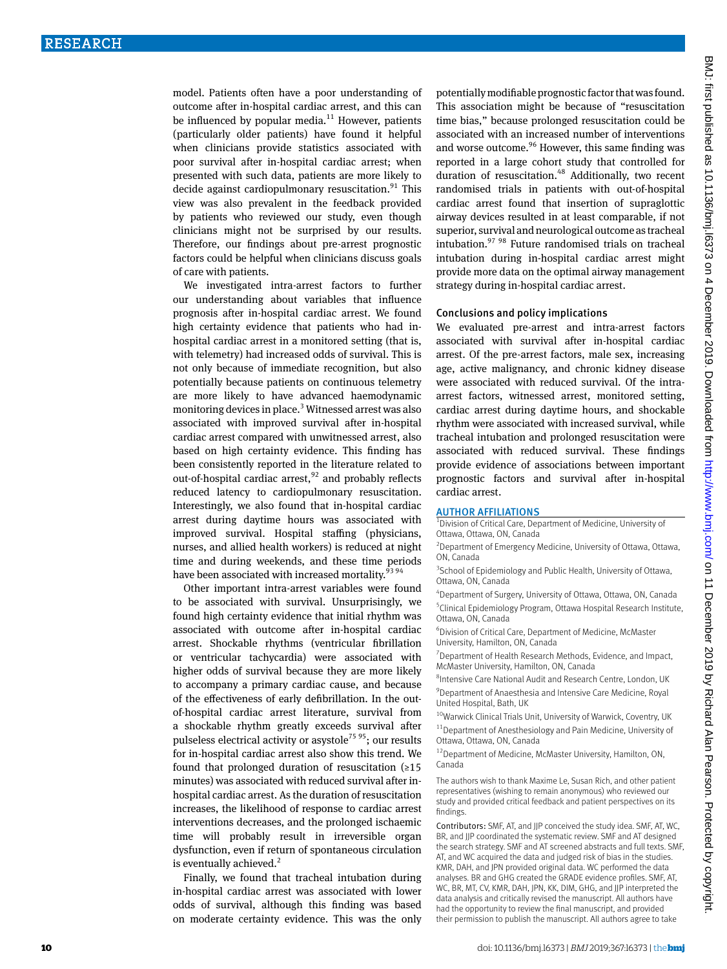model. Patients often have a poor understanding of outcome after in-hospital cardiac arrest, and this can be influenced by popular media. $11$  However, patients (particularly older patients) have found it helpful when clinicians provide statistics associated with poor survival after in-hospital cardiac arrest; when presented with such data, patients are more likely to decide against cardiopulmonary resuscitation.<sup>91</sup> This view was also prevalent in the feedback provided by patients who reviewed our study, even though clinicians might not be surprised by our results. Therefore, our findings about pre-arrest prognostic factors could be helpful when clinicians discuss goals of care with patients.

We investigated intra-arrest factors to further our understanding about variables that influence prognosis after in-hospital cardiac arrest. We found high certainty evidence that patients who had inhospital cardiac arrest in a monitored setting (that is, with telemetry) had increased odds of survival. This is not only because of immediate recognition, but also potentially because patients on continuous telemetry are more likely to have advanced haemodynamic monitoring devices in place.<sup>3</sup> Witnessed arrest was also associated with improved survival after in-hospital cardiac arrest compared with unwitnessed arrest, also based on high certainty evidence. This finding has been consistently reported in the literature related to out-of-hospital cardiac arrest, $92$  and probably reflects reduced latency to cardiopulmonary resuscitation. Interestingly, we also found that in-hospital cardiac arrest during daytime hours was associated with improved survival. Hospital staffing (physicians, nurses, and allied health workers) is reduced at night time and during weekends, and these time periods have been associated with increased mortality.<sup>93 94</sup>

Other important intra-arrest variables were found to be associated with survival. Unsurprisingly, we found high certainty evidence that initial rhythm was associated with outcome after in-hospital cardiac arrest. Shockable rhythms (ventricular fibrillation or ventricular tachycardia) were associated with higher odds of survival because they are more likely to accompany a primary cardiac cause, and because of the effectiveness of early defibrillation. In the outof-hospital cardiac arrest literature, survival from a shockable rhythm greatly exceeds survival after pulseless electrical activity or asystole<sup>75 95</sup>; our results for in-hospital cardiac arrest also show this trend. We found that prolonged duration of resuscitation  $(≥15$ minutes) was associated with reduced survival after inhospital cardiac arrest. As the duration of resuscitation increases, the likelihood of response to cardiac arrest interventions decreases, and the prolonged ischaemic time will probably result in irreversible organ dysfunction, even if return of spontaneous circulation is eventually achieved.<sup>2</sup>

Finally, we found that tracheal intubation during in-hospital cardiac arrest was associated with lower odds of survival, although this finding was based on moderate certainty evidence. This was the only

potentially modifiable prognostic factor that was found. This association might be because of "resuscitation time bias," because prolonged resuscitation could be associated with an increased number of interventions and worse outcome.<sup>96</sup> However, this same finding was reported in a large cohort study that controlled for duration of resuscitation.<sup>48</sup> Additionally, two recent randomised trials in patients with out-of-hospital cardiac arrest found that insertion of supraglottic airway devices resulted in at least comparable, if not superior, survival and neurological outcome as tracheal intubation.97 98 Future randomised trials on tracheal intubation during in-hospital cardiac arrest might provide more data on the optimal airway management strategy during in-hospital cardiac arrest.

#### Conclusions and policy implications

We evaluated pre-arrest and intra-arrest factors associated with survival after in-hospital cardiac arrest. Of the pre-arrest factors, male sex, increasing age, active malignancy, and chronic kidney disease were associated with reduced survival. Of the intraarrest factors, witnessed arrest, monitored setting, cardiac arrest during daytime hours, and shockable rhythm were associated with increased survival, while tracheal intubation and prolonged resuscitation were associated with reduced survival. These findings provide evidence of associations between important prognostic factors and survival after in-hospital cardiac arrest.

AUTHOR AFFILIATIONS<br><sup>1</sup>Division of Critical Care, Department of Medicine, University of Ottawa, Ottawa, ON, Canada

2 Department of Emergency Medicine, University of Ottawa, Ottawa, ON, Canada

<sup>3</sup> School of Epidemiology and Public Health, University of Ottawa, Ottawa, ON, Canada

4 Department of Surgery, University of Ottawa, Ottawa, ON, Canada 5 Clinical Epidemiology Program, Ottawa Hospital Research Institute, Ottawa, ON, Canada

6 Division of Critical Care, Department of Medicine, McMaster University, Hamilton, ON, Canada

<sup>7</sup> Department of Health Research Methods, Evidence, and Impact, McMaster University, Hamilton, ON, Canada

8 Intensive Care National Audit and Research Centre, London, UK <sup>9</sup> Department of Anaesthesia and Intensive Care Medicine, Royal United Hospital, Bath, UK

 $10$ Warwick Clinical Trials Unit, University of Warwick, Coventry, UK

11Department of Anesthesiology and Pain Medicine, University of Ottawa, Ottawa, ON, Canada

12Department of Medicine, McMaster University, Hamilton, ON, Canada

The authors wish to thank Maxime Le, Susan Rich, and other patient representatives (wishing to remain anonymous) who reviewed our study and provided critical feedback and patient perspectives on its findings.

Contributors: SMF, AT, and JJP conceived the study idea. SMF, AT, WC, BR, and JJP coordinated the systematic review. SMF and AT designed the search strategy. SMF and AT screened abstracts and full texts. SMF, AT, and WC acquired the data and judged risk of bias in the studies. KMR, DAH, and JPN provided original data. WC performed the data analyses. BR and GHG created the GRADE evidence profiles. SMF, AT, WC, BR, MT, CV, KMR, DAH, JPN, KK, DIM, GHG, and JJP interpreted the data analysis and critically revised the manuscript. All authors have had the opportunity to review the final manuscript, and provided their permission to publish the manuscript. All authors agree to take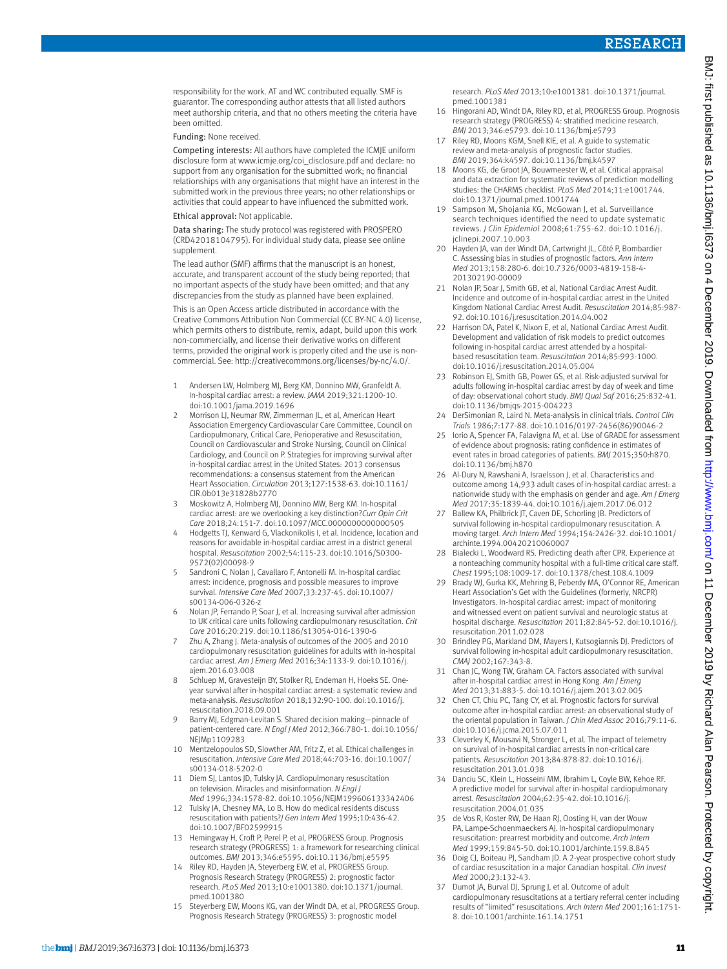responsibility for the work. AT and WC contributed equally. SMF is guarantor. The corresponding author attests that all listed authors meet authorship criteria, and that no others meeting the criteria have been omitted.

#### Funding: None received.

Competing interests: All authors have completed the ICMJE uniform disclosure form at [www.icmje.org/coi\\_disclosure.pdf](http://www.icmje.org/coi_disclosure.pdf) and declare: no support from any organisation for the submitted work; no financial relationships with any organisations that might have an interest in the submitted work in the previous three years; no other relationships or activities that could appear to have influenced the submitted work.

#### Ethical approval: Not applicable.

Data sharing: The study protocol was registered with PROSPERO (CRD42018104795). For individual study data, please see online supplement.

The lead author (SMF) affirms that the manuscript is an honest, accurate, and transparent account of the study being reported; that no important aspects of the study have been omitted; and that any discrepancies from the study as planned have been explained.

This is an Open Access article distributed in accordance with the Creative Commons Attribution Non Commercial (CC BY-NC 4.0) license, which permits others to distribute, remix, adapt, build upon this work non-commercially, and license their derivative works on different terms, provided the original work is properly cited and the use is noncommercial. See: [http://creativecommons.org/licenses/by-nc/4.0/.](http://creativecommons.org/licenses/by-nc/4.0/)

- 1 Andersen LW, Holmberg MJ, Berg KM, Donnino MW, Granfeldt A. In-hospital cardiac arrest: a review. *JAMA* 2019;321:1200-10. doi:10.1001/jama.2019.1696
- 2 Morrison LJ, Neumar RW, Zimmerman JL, et al, American Heart Association Emergency Cardiovascular Care Committee, Council on Cardiopulmonary, Critical Care, Perioperative and Resuscitation, Council on Cardiovascular and Stroke Nursing, Council on Clinical Cardiology, and Council on P. Strategies for improving survival after in-hospital cardiac arrest in the United States: 2013 consensus recommendations: a consensus statement from the American Heart Association. *Circulation* 2013;127:1538-63. doi:10.1161/ CIR.0b013e31828b2770
- 3 Moskowitz A, Holmberg MJ, Donnino MW, Berg KM. In-hospital cardiac arrest: are we overlooking a key distinction?*Curr Opin Crit Care* 2018;24:151-7. doi:10.1097/MCC.0000000000000505
- 4 Hodgetts TJ, Kenward G, Vlackonikolis I, et al. Incidence, location and reasons for avoidable in-hospital cardiac arrest in a district general hospital. *Resuscitation* 2002;54:115-23. doi:10.1016/S0300- 9572(02)00098-9
- 5 Sandroni C, Nolan J, Cavallaro F, Antonelli M. In-hospital cardiac arrest: incidence, prognosis and possible measures to improve survival. *Intensive Care Med* 2007;33:237-45. doi:10.1007/ s00134-006-0326-z
- 6 Nolan JP, Ferrando P, Soar J, et al. Increasing survival after admission to UK critical care units following cardiopulmonary resuscitation. *Crit Care* 2016;20:219. doi:10.1186/s13054-016-1390-6
- 7 Zhu A, Zhang J. Meta-analysis of outcomes of the 2005 and 2010 cardiopulmonary resuscitation guidelines for adults with in-hospital cardiac arrest. *Am J Emerg Med* 2016;34:1133-9. doi:10.1016/j. ajem.2016.03.008
- 8 Schluep M, Gravesteijn BY, Stolker RJ, Endeman H, Hoeks SE. Oneyear survival after in-hospital cardiac arrest: a systematic review and meta-analysis. *Resuscitation* 2018;132:90-100. doi:10.1016/j. resuscitation.2018.09.001
- 9 Barry MJ, Edgman-Levitan S. Shared decision making—pinnacle of patient-centered care. *N Engl J Med* 2012;366:780-1. doi:10.1056/ NFIMp1109283
- 10 Mentzelopoulos SD, Slowther AM, Fritz Z, et al. Ethical challenges in resuscitation. *Intensive Care Med* 2018;44:703-16. doi:10.1007/ s00134-018-5202-0
- 11 Diem SJ, Lantos JD, Tulsky JA. Cardiopulmonary resuscitation on television. Miracles and misinformation. *N Engl J Med* 1996;334:1578-82. doi:10.1056/NEJM199606133342406
- 12 Tulsky JA, Chesney MA, Lo B. How do medical residents discuss resuscitation with patients?*J Gen Intern Med* 1995;10:436-42. doi:10.1007/BF02599915
- 13 Hemingway H, Croft P, Perel P, et al, PROGRESS Group. Prognosis research strategy (PROGRESS) 1: a framework for researching clinical outcomes. *BMJ* 2013;346:e5595. doi:10.1136/bmj.e5595
- 14 Riley RD, Hayden JA, Steyerberg EW, et al, PROGRESS Group. Prognosis Research Strategy (PROGRESS) 2: prognostic factor research. *PLoS Med* 2013;10:e1001380. doi:10.1371/journal. pmed.1001380
- 15 Steyerberg EW, Moons KG, van der Windt DA, et al, PROGRESS Group. Prognosis Research Strategy (PROGRESS) 3: prognostic model

research. *PLoS Med* 2013;10:e1001381. doi:10.1371/journal. pmed.1001381

- 16 Hingorani AD, Windt DA, Riley RD, et al, PROGRESS Group. Prognosis research strategy (PROGRESS) 4: stratified medicine research. *BMJ* 2013;346:e5793. doi:10.1136/bmj.e5793
- 17 Riley RD, Moons KGM, Snell KIE, et al. A guide to systematic review and meta-analysis of prognostic factor studies. *BMJ* 2019;364:k4597. doi:10.1136/bmj.k4597
- 18 Moons KG, de Groot JA, Bouwmeester W, et al. Critical appraisal and data extraction for systematic reviews of prediction modelling studies: the CHARMS checklist. *PLoS Med* 2014;11:e1001744. doi:10.1371/journal.pmed.1001744
- 19 Sampson M, Shojania KG, McGowan J, et al. Surveillance search techniques identified the need to update systematic reviews. *J Clin Epidemiol* 2008;61:755-62. doi:10.1016/j. jclinepi.2007.10.003
- 20 Hayden JA, van der Windt DA, Cartwright JL, Côté P, Bombardier C. Assessing bias in studies of prognostic factors. *Ann Intern Med* 2013;158:280-6. doi:10.7326/0003-4819-158-4- 201302190-00009
- 21 Nolan JP, Soar J, Smith GB, et al, National Cardiac Arrest Audit. Incidence and outcome of in-hospital cardiac arrest in the United Kingdom National Cardiac Arrest Audit. *Resuscitation* 2014;85:987- 92. doi:10.1016/j.resuscitation.2014.04.002
- 22 Harrison DA, Patel K, Nixon E, et al, National Cardiac Arrest Audit. Development and validation of risk models to predict outcomes following in-hospital cardiac arrest attended by a hospitalbased resuscitation team. *Resuscitation* 2014;85:993-1000. doi:10.1016/j.resuscitation.2014.05.004
- 23 Robinson EJ, Smith GB, Power GS, et al. Risk-adjusted survival for adults following in-hospital cardiac arrest by day of week and time of day: observational cohort study. *BMJ Qual Saf* 2016;25:832-41. doi:10.1136/bmjqs-2015-004223
- 24 DerSimonian R, Laird N. Meta-analysis in clinical trials. *Control Clin Trials* 1986;7:177-88. doi:10.1016/0197-2456(86)90046-2
- 25 Iorio A, Spencer FA, Falavigna M, et al. Use of GRADE for assessment of evidence about prognosis: rating confidence in estimates of event rates in broad categories of patients. *BMJ* 2015;350:h870. doi:10.1136/bmj.h870
- 26 Al-Dury N, Rawshani A, Israelsson J, et al. Characteristics and outcome among 14,933 adult cases of in-hospital cardiac arrest: a nationwide study with the emphasis on gender and age. *Am J Emerg Med* 2017;35:1839-44. doi:10.1016/j.ajem.2017.06.012
- 27 Ballew KA, Philbrick JT, Caven DE, Schorling JB. Predictors of survival following in-hospital cardiopulmonary resuscitation. A moving target. *Arch Intern Med* 1994;154:2426-32. doi:10.1001/ archinte.1994.00420210060007
- 28 Bialecki L, Woodward RS. Predicting death after CPR. Experience at a nonteaching community hospital with a full-time critical care staff. *Chest* 1995;108:1009-17. doi:10.1378/chest.108.4.1009
- 29 Brady WJ, Gurka KK, Mehring B, Peberdy MA, O'Connor RE, American Heart Association's Get with the Guidelines (formerly, NRCPR) Investigators. In-hospital cardiac arrest: impact of monitoring and witnessed event on patient survival and neurologic status at hospital discharge. *Resuscitation* 2011;82:845-52. doi:10.1016/j. resuscitation.2011.02.028
- 30 Brindley PG, Markland DM, Mayers I, Kutsogiannis DJ. Predictors of survival following in-hospital adult cardiopulmonary resuscitation. *CMAJ* 2002;167:343-8.
- 31 Chan JC, Wong TW, Graham CA. Factors associated with survival after in-hospital cardiac arrest in Hong Kong. *Am J Emerg Med* 2013;31:883-5. doi:10.1016/j.ajem.2013.02.005
- 32 Chen CT, Chiu PC, Tang CY, et al. Prognostic factors for survival outcome after in-hospital cardiac arrest: an observational study of the oriental population in Taiwan. *J Chin Med Assoc* 2016;79:11-6. doi:10.1016/j.jcma.2015.07.011
- 33 Cleverley K, Mousavi N, Stronger L, et al. The impact of telemetry on survival of in-hospital cardiac arrests in non-critical care patients. *Resuscitation* 2013;84:878-82. doi:10.1016/j. resuscitation.2013.01.038
- 34 Danciu SC, Klein L, Hosseini MM, Ibrahim L, Coyle BW, Kehoe RF. A predictive model for survival after in-hospital cardiopulmonary arrest. *Resuscitation* 2004;62:35-42. doi:10.1016/j. resuscitation.2004.01.035
- 35 de Vos R, Koster RW, De Haan RJ, Oosting H, van der Wouw PA, Lampe-Schoenmaeckers AJ. In-hospital cardiopulmonary resuscitation: prearrest morbidity and outcome. *Arch Intern Med* 1999;159:845-50. doi:10.1001/archinte.159.8.845
- 36 Doig CJ, Boiteau PJ, Sandham JD. A 2-year prospective cohort study of cardiac resuscitation in a major Canadian hospital. *Clin Invest Med* 2000;23:132-43.
- 37 Dumot JA, Burval DJ, Sprung J, et al. Outcome of adult cardiopulmonary resuscitations at a tertiary referral center including results of "limited" resuscitations. *Arch Intern Med* 2001;161:1751- 8. doi:10.1001/archinte.161.14.1751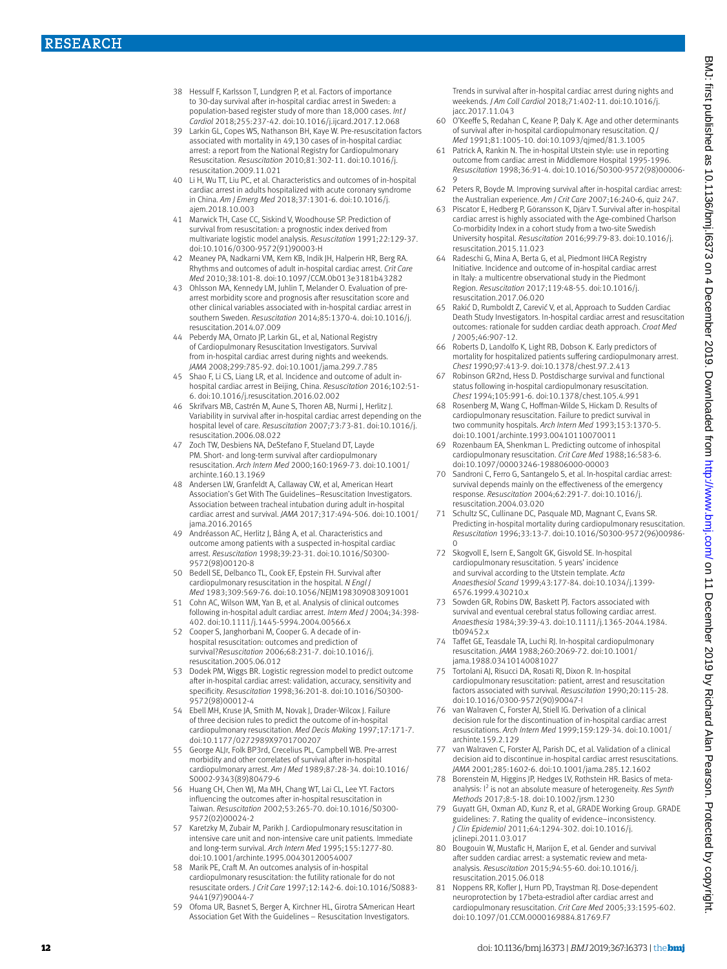- 38 Hessulf F, Karlsson T, Lundgren P, et al. Factors of importance to 30-day survival after in-hospital cardiac arrest in Sweden: a population-based register study of more than 18,000 cases. *Int J Cardiol* 2018;255:237-42. doi:10.1016/j.ijcard.2017.12.068
- 39 Larkin GL, Copes WS, Nathanson BH, Kaye W. Pre-resuscitation factors associated with mortality in 49,130 cases of in-hospital cardiac arrest: a report from the National Registry for Cardiopulmonary Resuscitation. *Resuscitation* 2010;81:302-11. doi:10.1016/j. resuscitation.2009.11.021
- 40 Li H, Wu TT, Liu PC, et al. Characteristics and outcomes of in-hospital cardiac arrest in adults hospitalized with acute coronary syndrome in China. *Am J Emerg Med* 2018;37:1301-6. doi:10.1016/j. ajem.2018.10.003
- 41 Marwick TH, Case CC, Siskind V, Woodhouse SP. Prediction of survival from resuscitation: a prognostic index derived from multivariate logistic model analysis. *Resuscitation* 1991;22:129-37. doi:10.1016/0300-9572(91)90003-H
- 42 Meaney PA, Nadkarni VM, Kern KB, Indik JH, Halperin HR, Berg RA. Rhythms and outcomes of adult in-hospital cardiac arrest. *Crit Care Med* 2010;38:101-8. doi:10.1097/CCM.0b013e3181b43282
- 43 Ohlsson MA, Kennedy LM, Juhlin T, Melander O. Evaluation of prearrest morbidity score and prognosis after resuscitation score and other clinical variables associated with in-hospital cardiac arrest in southern Sweden. *Resuscitation* 2014;85:1370-4. doi:10.1016/j. resuscitation.2014.07.009
- 44 Peberdy MA, Ornato JP, Larkin GL, et al, National Registry of Cardiopulmonary Resuscitation Investigators. Survival from in-hospital cardiac arrest during nights and weekends. *JAMA* 2008;299:785-92. doi:10.1001/jama.299.7.785
- 45 Shao F, Li CS, Liang LR, et al. Incidence and outcome of adult inhospital cardiac arrest in Beijing, China. *Resuscitation* 2016;102:51- 6. doi:10.1016/j.resuscitation.2016.02.002
- 46 Skrifvars MB, Castrén M, Aune S, Thoren AB, Nurmi J, Herlitz J. Variability in survival after in-hospital cardiac arrest depending on the hospital level of care. *Resuscitation* 2007;73:73-81. doi:10.1016/j. resuscitation.2006.08.022
- Zoch TW, Desbiens NA, DeStefano F, Stueland DT, Layde PM. Short- and long-term survival after cardiopulmonary resuscitation. *Arch Intern Med* 2000;160:1969-73. doi:10.1001/ archinte.160.13.1969
- 48 Andersen LW, Granfeldt A, Callaway CW, et al, American Heart Association's Get With The Guidelines–Resuscitation Investigators. Association between tracheal intubation during adult in-hospital cardiac arrest and survival. *JAMA* 2017;317:494-506. doi:10.1001/ jama.2016.20165
- 49 Andréasson AC, Herlitz J, Bång A, et al. Characteristics and outcome among patients with a suspected in-hospital cardiac arrest. *Resuscitation* 1998;39:23-31. doi:10.1016/S0300- 9572(98)00120-8
- 50 Bedell SE, Delbanco TL, Cook EF, Epstein FH. Survival after cardiopulmonary resuscitation in the hospital. *N Engl J Med* 1983;309:569-76. doi:10.1056/NEJM198309083091001
- 51 Cohn AC, Wilson WM, Yan B, et al. Analysis of clinical outcomes following in-hospital adult cardiac arrest. *Intern Med J* 2004;34:398- 402. doi:10.1111/j.1445-5994.2004.00566.x
- 52 Cooper S, Janghorbani M, Cooper G. A decade of inhospital resuscitation: outcomes and prediction of survival?*Resuscitation* 2006;68:231-7. doi:10.1016/j. resuscitation.2005.06.012
- 53 Dodek PM, Wiggs BR. Logistic regression model to predict outcome after in-hospital cardiac arrest: validation, accuracy, sensitivity and specificity. *Resuscitation* 1998;36:201-8. doi:10.1016/S0300- 9572(98)00012-4
- 54 Ebell MH, Kruse JA, Smith M, Novak J, Drader-Wilcox J. Failure of three decision rules to predict the outcome of in-hospital cardiopulmonary resuscitation. *Med Decis Making* 1997;17:171-7. doi:10.1177/0272989X9701700207
- 55 George ALJr, Folk BP3rd, Crecelius PL, Campbell WB. Pre-arrest morbidity and other correlates of survival after in-hospital cardiopulmonary arrest. *Am J Med* 1989;87:28-34. doi:10.1016/ S0002-9343(89)80479-6
- 56 Huang CH, Chen WJ, Ma MH, Chang WT, Lai CL, Lee YT. Factors influencing the outcomes after in-hospital resuscitation in Taiwan. *Resuscitation* 2002;53:265-70. doi:10.1016/S0300- 9572(02)00024-2
- 57 Karetzky M, Zubair M, Parikh J. Cardiopulmonary resuscitation in intensive care unit and non-intensive care unit patients. Immediate and long-term survival. *Arch Intern Med* 1995;155:1277-80. doi:10.1001/archinte.1995.00430120054007
- 58 Marik PE, Craft M. An outcomes analysis of in-hospital cardiopulmonary resuscitation: the futility rationale for do not resuscitate orders. *J Crit Care* 1997;12:142-6. doi:10.1016/S0883- 9441(97)90044-7
- 59 Ofoma UR, Basnet S, Berger A, Kirchner HL, Girotra SAmerican Heart Association Get With the Guidelines – Resuscitation Investigators.

Trends in survival after in-hospital cardiac arrest during nights and weekends. *J Am Coll Cardiol* 2018;71:402-11. doi:10.1016/j. jacc.2017.11.043

- 60 O'Keeffe S, Redahan C, Keane P, Daly K. Age and other determinants of survival after in-hospital cardiopulmonary resuscitation. *Q J Med* 1991;81:1005-10. doi:10.1093/qjmed/81.3.1005
- 61 Patrick A, Rankin N. The in-hospital Utstein style: use in reporting outcome from cardiac arrest in Middlemore Hospital 1995-1996. *Resuscitation* 1998;36:91-4. doi:10.1016/S0300-9572(98)00006- 9
- 62 Peters R, Boyde M. Improving survival after in-hospital cardiac arrest: the Australian experience. *Am J Crit Care* 2007;16:240-6, quiz 247.
- 63 Piscator E, Hedberg P, Göransson K, Djärv T. Survival after in-hospital cardiac arrest is highly associated with the Age-combined Charlson Co-morbidity Index in a cohort study from a two-site Swedish University hospital. *Resuscitation* 2016;99:79-83. doi:10.1016/j. resuscitation.2015.11.023
- 64 Radeschi G, Mina A, Berta G, et al, Piedmont IHCA Registry Initiative. Incidence and outcome of in-hospital cardiac arrest in Italy: a multicentre observational study in the Piedmont Region. *Resuscitation* 2017;119:48-55. doi:10.1016/j. resuscitation.2017.06.020
- 65 Rakić D, Rumboldt Z, Carević V, et al, Approach to Sudden Cardiac Death Study Investigators. In-hospital cardiac arrest and resuscitation outcomes: rationale for sudden cardiac death approach. *Croat Med J* 2005;46:907-12.
- 66 Roberts D, Landolfo K, Light RB, Dobson K. Early predictors of mortality for hospitalized patients suffering cardiopulmonary arrest. *Chest* 1990;97:413-9. doi:10.1378/chest.97.2.413
- 67 Robinson GR2nd, Hess D. Postdischarge survival and functional status following in-hospital cardiopulmonary resuscitation. *Chest* 1994;105:991-6. doi:10.1378/chest.105.4.991
- 68 Rosenberg M, Wang C, Hoffman-Wilde S, Hickam D. Results of cardiopulmonary resuscitation. Failure to predict survival in two community hospitals. *Arch Intern Med* 1993;153:1370-5. doi:10.1001/archinte.1993.00410110070011
- Rozenbaum EA, Shenkman L. Predicting outcome of inhospital cardiopulmonary resuscitation. *Crit Care Med* 1988;16:583-6. doi:10.1097/00003246-198806000-00003
- Sandroni C, Ferro G, Santangelo S, et al. In-hospital cardiac arrest: survival depends mainly on the effectiveness of the emergency response. *Resuscitation* 2004;62:291-7. doi:10.1016/j. resuscitation.2004.03.020
- 71 Schultz SC, Cullinane DC, Pasquale MD, Magnant C, Evans SR. Predicting in-hospital mortality during cardiopulmonary resuscitation. *Resuscitation* 1996;33:13-7. doi:10.1016/S0300-9572(96)00986- 0
- 72 Skogvoll E, Isern E, Sangolt GK, Gisvold SE. In-hospital cardiopulmonary resuscitation. 5 years' incidence and survival according to the Utstein template. *Acta Anaesthesiol Scand* 1999;43:177-84. doi:10.1034/j.1399- 6576.1999.430210.x
- 73 Sowden GR, Robins DW, Baskett PJ. Factors associated with survival and eventual cerebral status following cardiac arrest. *Anaesthesia* 1984;39:39-43. doi:10.1111/j.1365-2044.1984. tb09452.x
- 74 Taffet GE, Teasdale TA, Luchi RJ. In-hospital cardiopulmonary resuscitation. *JAMA* 1988;260:2069-72. doi:10.1001/ jama.1988.03410140081027
- 75 Tortolani AJ, Risucci DA, Rosati RJ, Dixon R. In-hospital cardiopulmonary resuscitation: patient, arrest and resuscitation factors associated with survival. *Resuscitation* 1990;20:115-28. doi:10.1016/0300-9572(90)90047-I
- 76 van Walraven C, Forster AJ, Stiell IG. Derivation of a clinical decision rule for the discontinuation of in-hospital cardiac arrest resuscitations. *Arch Intern Med* 1999;159:129-34. doi:10.1001/ archinte.159.2.129
- van Walraven C, Forster AJ, Parish DC, et al. Validation of a clinical decision aid to discontinue in-hospital cardiac arrest resuscitations. *JAMA* 2001;285:1602-6. doi:10.1001/jama.285.12.1602
- 78 Borenstein M, Higgins JP, Hedges LV, Rothstein HR. Basics of metaanalysis: I<sup>2</sup> is not an absolute measure of heterogeneity. Res Synth *Methods* 2017;8:5-18. doi:10.1002/jrsm.1230
- 79 Guyatt GH, Oxman AD, Kunz R, et al, GRADE Working Group. GRADE guidelines: 7. Rating the quality of evidence–inconsistency. *J Clin Epidemiol* 2011;64:1294-302. doi:10.1016/j. clinepi.2011.03.017
- 80 Bougouin W, Mustafic H, Marijon E, et al. Gender and survival after sudden cardiac arrest: a systematic review and metaanalysis. *Resuscitation* 2015;94:55-60. doi:10.1016/j. resuscitation.2015.06.018
- 81 Noppens RR, Kofler J, Hurn PD, Traystman RJ. Dose-dependent neuroprotection by 17beta-estradiol after cardiac arrest and cardiopulmonary resuscitation. *Crit Care Med* 2005;33:1595-602. doi:10.1097/01.CCM.0000169884.81769.F7